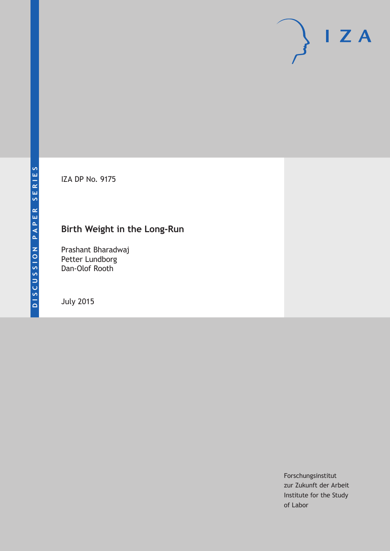IZA DP No. 9175

# **Birth Weight in the Long-Run**

Prashant Bharadwaj Petter Lundborg Dan-Olof Rooth

July 2015

Forschungsinstitut zur Zukunft der Arbeit Institute for the Study of Labor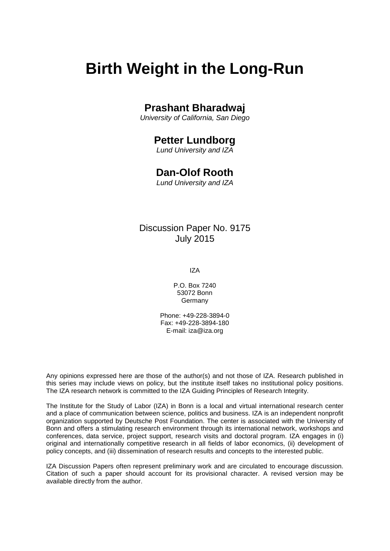# **Birth Weight in the Long-Run**

## **Prashant Bharadwaj**

*University of California, San Diego*

# **Petter Lundborg**

*Lund University and IZA*

## **Dan-Olof Rooth**

*Lund University and IZA*

### Discussion Paper No. 9175 July 2015

IZA

P.O. Box 7240 53072 Bonn **Germany** 

Phone: +49-228-3894-0 Fax: +49-228-3894-180 E-mail: iza@iza.org

Any opinions expressed here are those of the author(s) and not those of IZA. Research published in this series may include views on policy, but the institute itself takes no institutional policy positions. The IZA research network is committed to the IZA Guiding Principles of Research Integrity.

The Institute for the Study of Labor (IZA) in Bonn is a local and virtual international research center and a place of communication between science, politics and business. IZA is an independent nonprofit organization supported by Deutsche Post Foundation. The center is associated with the University of Bonn and offers a stimulating research environment through its international network, workshops and conferences, data service, project support, research visits and doctoral program. IZA engages in (i) original and internationally competitive research in all fields of labor economics, (ii) development of policy concepts, and (iii) dissemination of research results and concepts to the interested public.

<span id="page-1-0"></span>IZA Discussion Papers often represent preliminary work and are circulated to encourage discussion. Citation of such a paper should account for its provisional character. A revised version may be available directly from the author.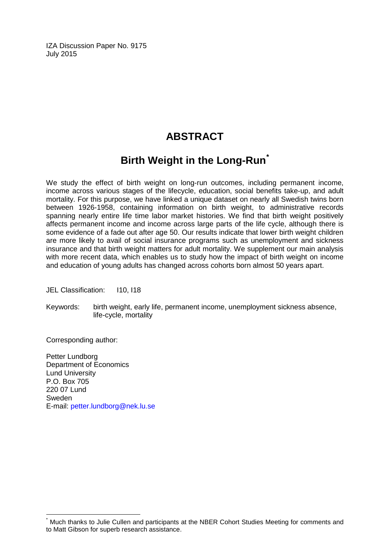IZA Discussion Paper No. 9175 July 2015

# **ABSTRACT**

# **Birth Weight in the Long-Run[\\*](#page-1-0)**

We study the effect of birth weight on long-run outcomes, including permanent income, income across various stages of the lifecycle, education, social benefits take-up, and adult mortality. For this purpose, we have linked a unique dataset on nearly all Swedish twins born between 1926-1958, containing information on birth weight, to administrative records spanning nearly entire life time labor market histories. We find that birth weight positively affects permanent income and income across large parts of the life cycle, although there is some evidence of a fade out after age 50. Our results indicate that lower birth weight children are more likely to avail of social insurance programs such as unemployment and sickness insurance and that birth weight matters for adult mortality. We supplement our main analysis with more recent data, which enables us to study how the impact of birth weight on income and education of young adults has changed across cohorts born almost 50 years apart.

JEL Classification: I10, I18

Keywords: birth weight, early life, permanent income, unemployment sickness absence, life-cycle, mortality

Corresponding author:

Petter Lundborg Department of Economics Lund University P.O. Box 705 220 07 Lund Sweden E-mail: [petter.lundborg@nek.lu.se](mailto:petter.lundborg@nek.lu.se)

Much thanks to Julie Cullen and participants at the NBER Cohort Studies Meeting for comments and to Matt Gibson for superb research assistance.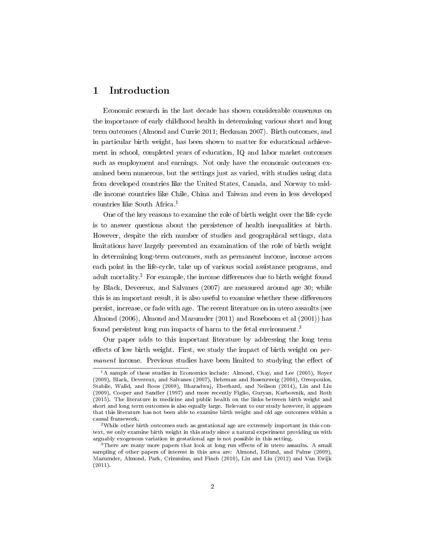### 1 Introduction

Economic research in the last decade has shown considerable consensus on the importance of early childhood health in determining various short and long term outcomes (Almond and Currie 2011; Heckman 2007). Birth outcomes, and in particular birth weight, has been shown to matter for educational achievement in school, completed years of education, IQ and labor market outcomes such as employment and earnings. Not only have the economic outcomes examined been numerous, but the settings just as varied, with studies using data from developed countries like the United States, Canada, and Norway to middle income countries like Chile, China and Taiwan and even in less developed countries like South Africa.<sup>1</sup>

One of the key reasons to examine the role of birth weight over the life cycle is to answer questions about the persistence of health inequalities at birth. However, despite the rich number of studies and geographical settings, data limitations have largely prevented an examination of the role of birth weight in determining long-term outcomes, such as permanent income, income across each point in the life-cycle, take up of various social assistance programs, and adult mortality.<sup>2</sup> For example, the income differences due to birth weight found by Black, Devereux, and Salvanes (2007) are measured around age 30; while this is an important result, it is also useful to examine whether these differences persist, increase, or fade with age. The recent literature on in utero assaults (see Almond (2006), Almond and Mazumder (2011) and Roseboom et al (2001)) has found persistent long run impacts of harm to the fetal environment.<sup>3</sup>

Our paper adds to this important literature by addressing the long term effects of low birth weight. First, we study the impact of birth weight on  $per$ manent income. Previous studies have been limited to studying the effect of

<sup>&</sup>lt;sup>1</sup>A sample of these studies in Economics include: Almond, Chay, and Lee (2005), Royer (2009), Black, Devereux, and Salvanes (2007), Behrman and Rosenzweig (2004), Oreopoulos, Stabile, Walld, and Roos (2008), Bharadwaj, Eberhard, and Neilson (2014), Lin and Liu (2009), Cooper and Sandler (1997) and more recently Figlio, Guryan, Karbownik, and Roth (2015). The literature in medicine and public health on the links between birth weight and short and long term outcomes is also equally large. Relevant to our study however, it appears that this literature has not been able to examine birth weight and old age outcomes within a causal framework.

<sup>2</sup>While other birth outcomes such as gestational age are extremely important in this context, we only examine birth weight in this study since a natural experiment providing us with arguably exogenous variation in gestational age is not possible in this setting.

 $^3$ There are many more papers that look at long run effects of in utero assaults. A small sampling of other papers of interest in this area are: Almond, Edlund, and Palme (2009), Mazumder, Almond, Park, Crimmins, and Finch (2010), Lin and Liu (2012) and Van Ewijk (2011).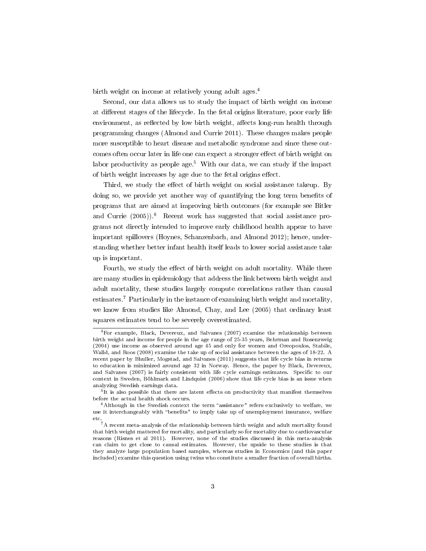birth weight on income at relatively young adult ages.<sup>4</sup>

Second, our data allows us to study the impact of birth weight on income at different stages of the lifecycle. In the fetal origins literature, poor early life environment, as reflected by low birth weight, affects long-run health through programming changes (Almond and Currie 2011). These changes makes people more susceptible to heart disease and metabolic syndrome and since these outcomes often occur later in life one can expect a stronger effect of birth weight on labor productivity as people age.<sup>5</sup> With our data, we can study if the impact of birth weight increases by age due to the fetal origins effect.

Third, we study the effect of birth weight on social assistance takeup. By doing so, we provide yet another way of quantifying the long term benefits of programs that are aimed at improving birth outcomes (for example see Bitler and Currie  $(2005)$ .<sup>6</sup> Recent work has suggested that social assistance programs not directly intended to improve early childhood health appear to have important spillovers (Hoynes, Schanzenbach, and Almond 2012); hence, understanding whether better infant health itself leads to lower social assistance take up is important.

Fourth, we study the effect of birth weight on adult mortality. While there are many studies in epidemiology that address the link between birth weight and adult mortality, these studies largely compute correlations rather than causal estimates.<sup>7</sup> Particularly in the instance of examining birth weight and mortality, we know from studies like Almond, Chay, and Lee (2005) that ordinary least squares estimates tend to be severely overestimated.

<sup>4</sup>For example, Black, Devereux, and Salvanes (2007) examine the relationship between birth weight and income for people in the age range of 25-35 years, Behrman and Rosenzweig (2004) use income as observed around age 45 and only for women and Oreopoulos, Stabile, Walld, and Roos (2008) examine the take up of social assistance between the ages of 18-22. A recent paper by Bhuller, Mogstad, and Salvanes (2011) suggests that life cycle bias in returns to education is minimized around age 32 in Norway. Hence, the paper by Black, Devereux, and Salvanes (2007) is fairly consistent with life cycle earnings estimates. Specific to our context in Sweden, Böhlmark and Lindquist (2006) show that life cycle bias is an issue when analyzing Swedish earnings data.

 $5$ It is also possible that there are latent effects on productivity that manifest themselves before the actual health shock occurs.

 $6$ Although in the Swedish context the term "assistance" refers exclusively to welfare, we use it interchangeably with "benefits" to imply take up of unemployment insurance, welfare etc.

<sup>7</sup>A recent meta-analysis of the relationship between birth weight and adult mortality found that birth weight mattered for mortality, and particularly so for mortality due to cardiovascular reasons (Risnes et al 2011). However, none of the studies discussed in this meta-analysis can claim to get close to causal estimates. However, the upside to these studies is that they analyze large population based samples, whereas studies in Economics (and this paper included) examine this question using twins who constitute a smaller fraction of overall births.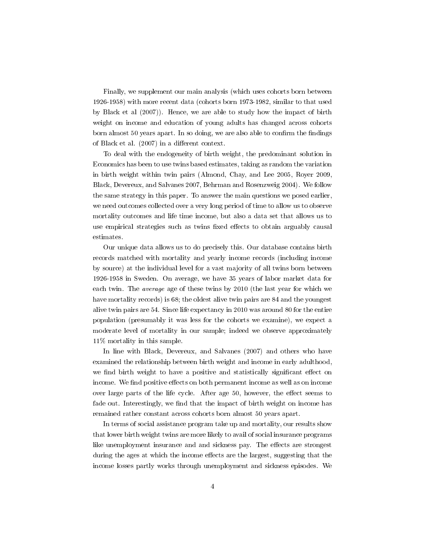Finally, we supplement our main analysis (which uses cohorts born between 1926-1958) with more recent data (cohorts born 1973-1982, similar to that used by Black et al (2007)). Hence, we are able to study how the impact of birth weight on income and education of young adults has changed across cohorts born almost 50 years apart. In so doing, we are also able to confirm the findings of Black et al.  $(2007)$  in a different context.

To deal with the endogeneity of birth weight, the predominant solution in Economics has been to use twins based estimates, taking as random the variation in birth weight within twin pairs (Almond, Chay, and Lee 2005, Royer 2009, Black, Devereux, and Salvanes 2007, Behrman and Rosenzweig 2004). We follow the same strategy in this paper. To answer the main questions we posed earlier, we need outcomes collected over a very long period of time to allow us to observe mortality outcomes and life time income, but also a data set that allows us to use empirical strategies such as twins fixed effects to obtain arguably causal estimates.

Our unique data allows us to do precisely this. Our database contains birth records matched with mortality and yearly income records (including income by source) at the individual level for a vast majority of all twins born between 1926-1958 in Sweden. On average, we have 35 years of labor market data for each twin. The average age of these twins by 2010 (the last year for which we have mortality records) is 68; the oldest alive twin pairs are 84 and the youngest alive twin pairs are 54. Since life expectancy in 2010 was around 80 for the entire population (presumably it was less for the cohorts we examine), we expect a moderate level of mortality in our sample; indeed we observe approximately 11% mortality in this sample.

In line with Black, Devereux, and Salvanes (2007) and others who have examined the relationship between birth weight and income in early adulthood, we find birth weight to have a positive and statistically significant effect on income. We find positive effects on both permanent income as well as on income over large parts of the life cycle. After age 50, however, the effect seems to fade out. Interestingly, we find that the impact of birth weight on income has remained rather constant across cohorts born almost 50 years apart.

In terms of social assistance program take up and mortality, our results show that lower birth weight twins are more likely to avail of social insurance programs like unemployment insurance and and sickness pay. The effects are strongest during the ages at which the income effects are the largest, suggesting that the income losses partly works through unemployment and sickness episodes. We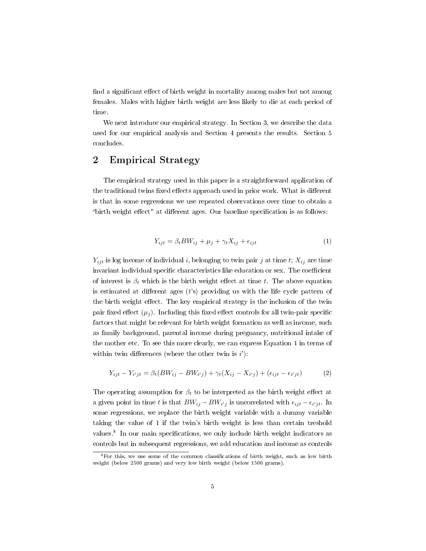find a significant effect of birth weight in mortality among males but not among females. Males with higher birth weight are less likely to die at each period of time.

We next introduce our empirical strategy. In Section 3, we describe the data used for our empirical analysis and Section 4 presents the results. Section 5 concludes.

### 2 Empirical Strategy

The empirical strategy used in this paper is a straightforward application of the traditional twins fixed effects approach used in prior work. What is different is that in some regressions we use repeated observations over time to obtain a "birth weight effect" at different ages. Our baseline specification is as follows:

$$
Y_{ijt} = \beta_t BW_{ij} + \mu_j + \gamma_t X_{ij} + \epsilon_{ijt}
$$
\n<sup>(1)</sup>

 $Y_{ijt}$  is log income of individual i, belonging to twin pair j at time t;  $X_{ij}$  are time invariant individual specific characteristics like education or sex. The coefficient of interest is  $\beta_t$  which is the birth weight effect at time t. The above equation is estimated at different ages  $(t's)$  providing us with the life cycle pattern of the birth weight effect. The key empirical strategy is the inclusion of the twin pair fixed effect  $(\mu_i)$ . Including this fixed effect controls for all twin-pair specific factors that might be relevant for birth weight formation as well as income, such as family background, parental income during pregnancy, nutritional intake of the mother etc. To see this more clearly, we can express Equation 1 in terms of within twin differences (where the other twin is  $i$ ):

$$
Y_{ijt} - Y_{i'jt} = \beta_t (BW_{ij} - BW_{i'j}) + \gamma_t (X_{ij} - X_{i'j}) + (\epsilon_{ijt} - \epsilon_{i'jt})
$$
(2)

The operating assumption for  $\beta_t$  to be interpreted as the birth weight effect at a given point in time t is that  $BW_{ij} - BW_{i'j}$  is uncorrelated with  $\epsilon_{ijt} - \epsilon_{i'jt}$ . In some regressions, we replace the birth weight variable with a dummy variable taking the value of 1 if the twin's birth weight is less than certain treshold values.<sup>8</sup> In our main specifications, we only include birth weight indicators as controls but in subsequent regressions, we add education and income as controls

<sup>&</sup>lt;sup>8</sup>For this, we use some of the common classifications of birth weight, such as low birth weight (below 2500 grams) and very low birth weight (below 1500 grams).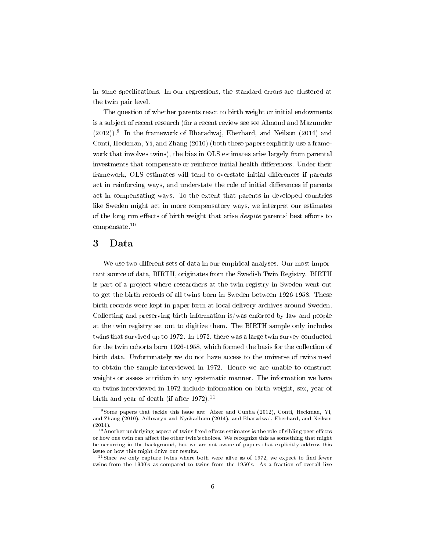in some specifications. In our regressions, the standard errors are clustered at the twin pair level.

The question of whether parents react to birth weight or initial endowments is a subject of recent research (for a recent review see see Almond and Mazumder (2012)).<sup>9</sup> In the framework of Bharadwaj, Eberhard, and Neilson (2014) and Conti, Heckman, Yi, and Zhang (2010) (both these papers explicitly use a framework that involves twins), the bias in OLS estimates arise largely from parental investments that compensate or reinforce initial health differences. Under their framework, OLS estimates will tend to overstate initial differences if parents act in reinforcing ways, and understate the role of initial differences if parents act in compensating ways. To the extent that parents in developed countries like Sweden might act in more compensatory ways, we interpret our estimates of the long run effects of birth weight that arise *despite* parents' best efforts to compensate.<sup>10</sup>

#### 3 Data

We use two different sets of data in our empirical analyses. Our most important source of data, BIRTH, originates from the Swedish Twin Registry. BIRTH is part of a project where researchers at the twin registry in Sweden went out to get the birth records of all twins born in Sweden between 1926-1958. These birth records were kept in paper form at local delivery archives around Sweden. Collecting and preserving birth information is/was enforced by law and people at the twin registry set out to digitize them. The BIRTH sample only includes twins that survived up to 1972. In 1972, there was a large twin survey conducted for the twin cohorts born 1926-1958, which formed the basis for the collection of birth data. Unfortunately we do not have access to the universe of twins used to obtain the sample interviewed in 1972. Hence we are unable to construct weights or assess attrition in any systematic manner. The information we have on twins interviewed in 1972 include information on birth weight, sex, year of birth and year of death (if after  $1972$ ).<sup>11</sup>

<sup>&</sup>lt;sup>9</sup>Some papers that tackle this issue are: Aizer and Cunha (2012), Conti, Heckman, Yi, and Zhang (2010), Adhvaryu and Nyshadham (2014), and Bharadwaj, Eberhard, and Neilson (2014).

 $10$ Another underlying aspect of twins fixed effects estimates is the role of sibling peer effects or how one twin can affect the other twin's choices. We recognize this as something that might be occurring in the background, but we are not aware of papers that explicitly address this issue or how this might drive our results.

 $11$ Since we only capture twins where both were alive as of 1972, we expect to find fewer twins from the 1930's as compared to twins from the 1950's. As a fraction of overall live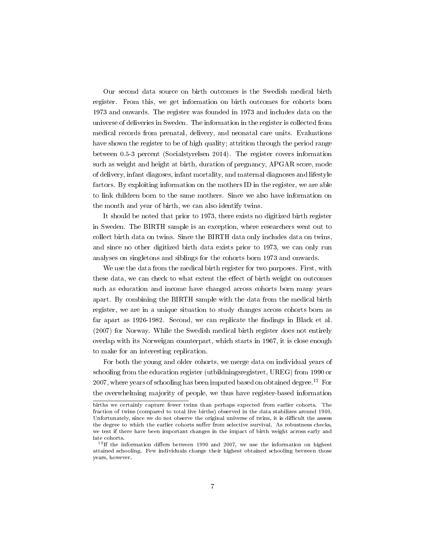Our second data source on birth outcomes is the Swedish medical birth register. From this, we get information on birth outcomes for cohorts born 1973 and onwards. The register was founded in 1973 and includes data on the universe of deliveries in Sweden. The information in the register is collected from medical records from prenatal, delivery, and neonatal care units. Evaluations have shown the register to be of high quality; attrition through the period range between 0.5-3 percent (Socialstyrelsen 2014). The register covers information such as weight and height at birth, duration of pregnancy, APGAR score, mode of delivery, infant diagoses, infant mortality, and maternal diagnoses and lifestyle factors. By exploiting information on the mothers ID in the register, we are able to link children born to the same mothers. Since we also have information on the month and year of birth, we can also identify twins.

It should be noted that prior to 1973, there exists no digitized birth register in Sweden. The BIRTH sample is an exception, where researchers went out to collect birth data on twins. Since the BIRTH data only includes data on twins, and since no other digitized birth data exists prior to 1973, we can only run analyses on singletons and siblings for the cohorts born 1973 and onwards.

We use the data from the medical birth register for two purposes. First, with these data, we can check to what extent the effect of birth weight on outcomes such as education and income have changed across cohorts born many years apart. By combining the BIRTH sample with the data from the medical birth register, we are in a unique situation to study changes across cohorts born as far apart as 1926-1982. Second, we can replicate the findings in Black et al. (2007) for Norway. While the Swedish medical birth register does not entirely overlap with its Norweigan counterpart, which starts in 1967, it is close enough to make for an interesting replication.

For both the young and older cohorts, we merge data on individual years of schooling from the education register (utbildningsregistret, UREG) from 1990 or 2007, where years of schooling has been imputed based on obtained degree.<sup>12</sup> For the overwhelming majority of people, we thus have register-based information

births we certainly capture fewer twins than perhaps expected from earlier cohorts. The fraction of twins (compared to total live births) observed in the data stabilizes around 1940. Unfortunately, since we do not observe the original universe of twins, it is difficult the assess the degree to which the earlier cohorts suffer from selective survival. As robustness checks, we test if there have been important changes in the impact of birth weight across early and late cohorts.

 $12$ If the information differs between 1990 and 2007, we use the information on highest attained schooling. Few individuals change their highest obtained schooling between those years, however.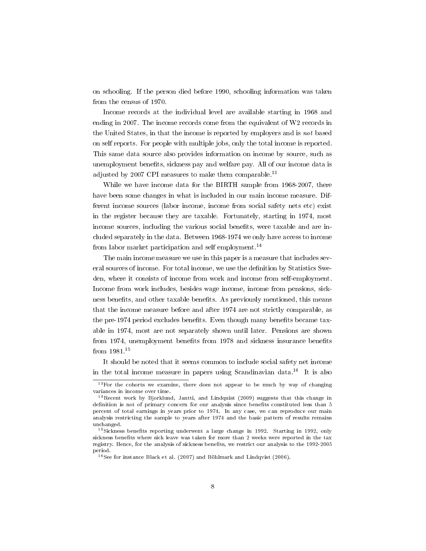on schooling. If the person died before 1990, schooling information was taken from the census of 1970.

Income records at the individual level are available starting in 1968 and ending in 2007. The income records come from the equivalent of W2 records in the United States, in that the income is reported by employers and is not based on self reports. For people with multiple jobs, only the total income is reported. This same data source also provides information on income by source, such as unemployment benefits, sickness pay and welfare pay. All of our income data is adjusted by 2007 CPI measures to make them comparable.<sup>13</sup>

While we have income data for the BIRTH sample from 1968-2007, there have been some changes in what is included in our main income measure. Different income sources (labor income, income from social safety nets etc) exist in the register because they are taxable. Fortunately, starting in 1974, most income sources, including the various social benefits, were taxable and are included separately in the data. Between 1968-1974 we only have access to income from labor market participation and self employment.<sup>14</sup>

The main income measure we use in this paper is a measure that includes several sources of income. For total income, we use the definition by Statistics Sweden, where it consists of income from work and income from self-employment. Income from work includes, besides wage income, income from pensions, sickness benets, and other taxable benets. As previously mentioned, this means that the income measure before and after 1974 are not strictly comparable, as the pre-1974 period excludes benefits. Even though many benefits became taxable in 1974, most are not separately shown until later. Pensions are shown from 1974, unemployment benefits from 1978 and sickness insurance benefits from 1981.<sup>15</sup>

It should be noted that it seems common to include social safety net income in the total income measure in papers using Scandinavian data.<sup>16</sup> It is also

 $13$  For the cohorts we examine, there does not appear to be much by way of changing variances in income over time.

 $14$ Recent work by Bjorklund, Jantti, and Lindquist (2009) suggests that this change in definition is not of primary concern for our analysis since benefits constituted less than 5 percent of total earnings in years prior to 1974. In any case, we can reproduce our main analysis restricting the sample to years after 1974 and the basic pattern of results remains unchanged.

<sup>&</sup>lt;sup>15</sup>Sickness benefits reporting underwent a large change in 1992. Starting in 1992, only sickness benefits where sick leave was taken for more than 2 weeks were reported in the tax registry. Hence, for the analysis of sickness benets, we restrict our analysis to the 1992-2005 period.

<sup>16</sup>See for instance Black et al. (2007) and Böhlmark and Lindqvist (2006).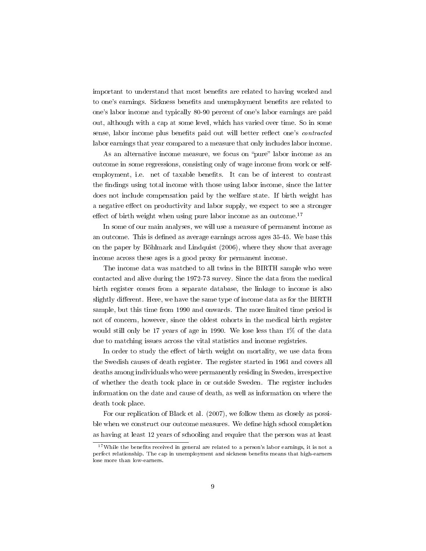important to understand that most benets are related to having worked and to one's earnings. Sickness benets and unemployment benets are related to one's labor income and typically 80-90 percent of one's labor earnings are paid out, although with a cap at some level, which has varied over time. So in some sense, labor income plus benefits paid out will better reflect one's *contracted* labor earnings that year compared to a measure that only includes labor income.

As an alternative income measure, we focus on "pure" labor income as an outcome in some regressions, consisting only of wage income from work or selfemployment, i.e. net of taxable benefits. It can be of interest to contrast the findings using total income with those using labor income, since the latter does not include compensation paid by the welfare state. If birth weight has a negative effect on productivity and labor supply, we expect to see a stronger effect of birth weight when using pure labor income as an outcome.<sup>17</sup>

In some of our main analyses, we will use a measure of permanent income as an outcome. This is defined as average earnings across ages 35-45. We base this on the paper by Böhlmark and Lindquist (2006), where they show that average income across these ages is a good proxy for permanent income.

The income data was matched to all twins in the BIRTH sample who were contacted and alive during the 1972-73 survey. Since the data from the medical birth register comes from a separate database, the linkage to income is also slightly different. Here, we have the same type of income data as for the BIRTH sample, but this time from 1990 and onwards. The more limited time period is not of concern, however, since the oldest cohorts in the medical birth register would still only be 17 years of age in 1990. We lose less than 1% of the data due to matching issues across the vital statistics and income registries.

In order to study the effect of birth weight on mortality, we use data from the Swedish causes of death register. The register started in 1961 and covers all deaths among individuals who were permanently residing in Sweden, irrespective of whether the death took place in or outside Sweden. The register includes information on the date and cause of death, as well as information on where the death took place.

For our replication of Black et al. (2007), we follow them as closely as possible when we construct our outcome measures. We define high school completion as having at least 12 years of schooling and require that the person was at least

 $17$ While the benefits received in general are related to a person's labor earnings, it is not a perfect relationship. The cap in unemployment and sickness benets means that high-earners lose more than low-earners.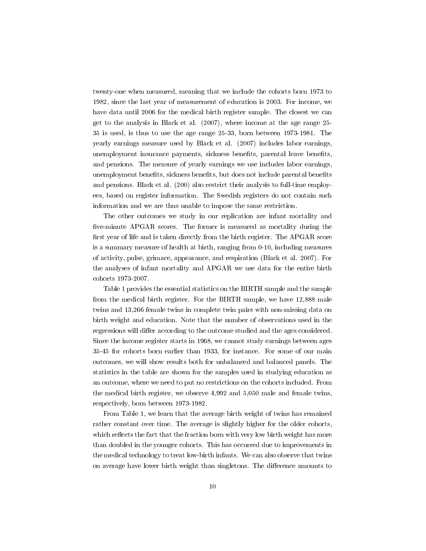twenty-one when measured, meaning that we include the cohorts born 1973 to 1982, since the last year of measurement of education is 2003. For income, we have data until 2006 for the medical birth register sample. The closest we can get to the analysis in Black et al. (2007), where income at the age range 25- 35 is used, is thus to use the age range 25-33, born between 1973-1981. The yearly earnings measure used by Black et al. (2007) includes labor earnings, unemployment insurance payments, sickness benefits, parental leave benefits, and pensions. The measure of yearly earnings we use includes labor earnings, unemployment benefits, sickness benefits, but does not include parental benefits and pensions. Black et al. (200) also restrict their analysis to full-time employees, based on register information. The Swedish registers do not contain such information and we are thus unable to impose the same restriction.

The other outcomes we study in our replication are infant mortality and five-minute APGAR scores. The former is measured as mortality during the first year of life and is taken directly from the birth register. The APGAR score is a summary measure of health at birth, ranging from 0-10, including measures of activity, pulse, grimace, appearance, and respiration (Black et al. 2007). For the analyses of infant mortality and APGAR we use data for the entire birth cohorts 1973-2007.

Table 1 provides the essential statistics on the BIRTH sample and the sample from the medical birth register. For the BIRTH sample, we have 12,888 male twins and 13,266 female twins in complete twin pairs with non-missing data on birth weight and education. Note that the number of observations used in the regressions will differ according to the outcome studied and the ages considered. Since the income register starts in 1968, we cannot study earnings between ages 35-45 for cohorts born earlier than 1933, for instance. For some of our main outcomes, we will show results both for unbalanced and balanced panels. The statistics in the table are shown for the samples used in studying education as an outcome, where we need to put no restrictions on the cohorts included. From the medical birth register, we observe 4,992 and 5,050 male and female twins, respectively, born between 1973-1982.

From Table 1, we learn that the average birth weight of twins has remained rather constant over time. The average is slightly higher for the older cohorts, which reflects the fact that the fraction born with very low birth weight has more than doubled in the younger cohorts. This has occurred due to improvements in the medical technology to treat low-birth infants. We can also observe that twins on average have lower birth weight than singletons. The difference amounts to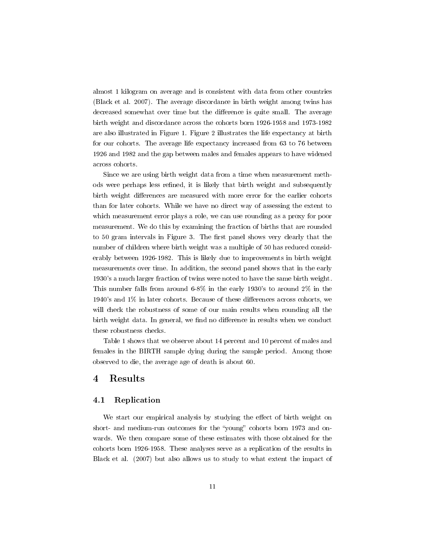almost 1 kilogram on average and is consistent with data from other countries (Black et al. 2007). The average discordance in birth weight among twins has decreased somewhat over time but the difference is quite small. The average birth weight and discordance across the cohorts born 1926-1958 and 1973-1982 are also illustrated in Figure 1. Figure 2 illustrates the life expectancy at birth for our cohorts. The average life expectancy increased from 63 to 76 between 1926 and 1982 and the gap between males and females appears to have widened across cohorts.

Since we are using birth weight data from a time when measurement methods were perhaps less refined, it is likely that birth weight and subsequently birth weight differences are measured with more error for the earlier cohorts than for later cohorts. While we have no direct way of assessing the extent to which measurement error plays a role, we can use rounding as a proxy for poor measurement. We do this by examining the fraction of births that are rounded to 50 gram intervals in Figure 3. The first panel shows very clearly that the number of children where birth weight was a multiple of 50 has reduced considerably between 1926-1982. This is likely due to improvements in birth weight measurements over time. In addition, the second panel shows that in the early 1930's a much larger fraction of twins were noted to have the same birth weight. This number falls from around 6-8% in the early 1930's to around 2% in the  $1940$ 's and  $1\%$  in later cohorts. Because of these differences across cohorts, we will check the robustness of some of our main results when rounding all the birth weight data. In general, we find no difference in results when we conduct these robustness checks.

Table 1 shows that we observe about 14 percent and 10 percent of males and females in the BIRTH sample dying during the sample period. Among those observed to die, the average age of death is about 60.

### 4 Results

#### 4.1 Replication

We start our empirical analysis by studying the effect of birth weight on short- and medium-run outcomes for the "young" cohorts born 1973 and onwards. We then compare some of these estimates with those obtained for the cohorts born 1926-1958. These analyses serve as a replication of the results in Black et al. (2007) but also allows us to study to what extent the impact of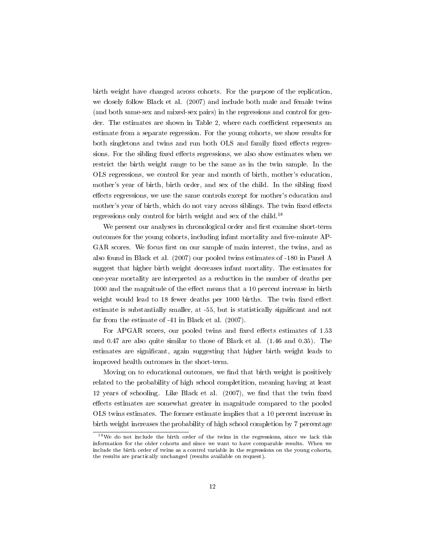birth weight have changed across cohorts. For the purpose of the replication, we closely follow Black et al. (2007) and include both male and female twins (and both same-sex and mixed-sex pairs) in the regressions and control for gender. The estimates are shown in Table 2, where each coefficient represents an estimate from a separate regression. For the young cohorts, we show results for both singletons and twins and run both OLS and family fixed effects regressions. For the sibling fixed effects regressions, we also show estimates when we restrict the birth weight range to be the same as in the twin sample. In the OLS regressions, we control for year and month of birth, mother's education, mother's year of birth, birth order, and sex of the child. In the sibling fixed effects regressions, we use the same controls except for mother's education and mother's year of birth, which do not vary across siblings. The twin fixed effects regressions only control for birth weight and sex of the child.<sup>18</sup>

We present our analyses in chronological order and first examine short-term outcomes for the young cohorts, including infant mortality and five-minute  $AP-$ GAR scores. We focus first on our sample of main interest, the twins, and as also found in Black et al. (2007) our pooled twins estimates of -180 in Panel A suggest that higher birth weight decreases infant mortality. The estimates for one-year mortality are interpreted as a reduction in the number of deaths per  $1000$  and the magnitude of the effect means that a 10 percent increase in birth weight would lead to 18 fewer deaths per 1000 births. The twin fixed effect estimate is substantially smaller, at -55, but is statistically significant and not far from the estimate of -41 in Black et al. (2007).

For APGAR scores, our pooled twins and fixed effects estimates of 1.53 and 0.47 are also quite similar to those of Black et al. (1.46 and 0.35). The estimates are signicant, again suggesting that higher birth weight leads to improved health outcomes in the short-term.

Moving on to educational outcomes, we find that birth weight is positively related to the probability of high school completition, meaning having at least 12 years of schooling. Like Black et al.  $(2007)$ , we find that the twin fixed effects estimates are somewhat greater in magnitude compared to the pooled OLS twins estimates. The former estimate implies that a 10 percent increase in birth weight increases the probability of high school completion by 7 percentage

<sup>18</sup>We do not include the birth order of the twins in the regressions, since we lack this information for the older cohorts and since we want to have comparable results. When we include the birth order of twins as a control variable in the regressions on the young cohorts, the results are practically unchanged (results available on request).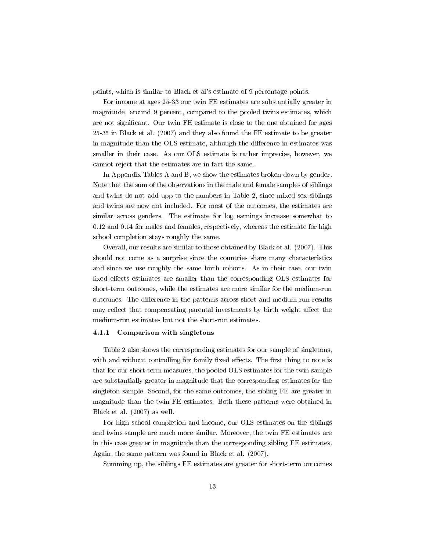points, which is similar to Black et al's estimate of 9 percentage points.

For income at ages 25-33 our twin FE estimates are substantially greater in magnitude, around 9 percent, compared to the pooled twins estimates, which are not significant. Our twin FE estimate is close to the one obtained for ages 25-35 in Black et al. (2007) and they also found the FE estimate to be greater in magnitude than the OLS estimate, although the difference in estimates was smaller in their case. As our OLS estimate is rather imprecise, however, we cannot reject that the estimates are in fact the same.

In Appendix Tables A and B, we show the estimates broken down by gender. Note that the sum of the observations in the male and female samples of siblings and twins do not add upp to the numbers in Table 2, since mixed-sex siblings and twins are now not included. For most of the outcomes, the estimates are similar across genders. The estimate for log earnings increase somewhat to 0.12 and 0.14 for males and females, respectively, whereas the estimate for high school completion stays roughly the same.

Overall, our results are similar to those obtained by Black et al. (2007). This should not come as a surprise since the countries share many characteristics and since we use roughly the same birth cohorts. As in their case, our twin fixed effects estimates are smaller than the corresponding OLS estimates for short-term outcomes, while the estimates are more similar for the medium-run outcomes. The difference in the patterns across short and medium-run results may reflect that compensating parental investments by birth weight affect the medium-run estimates but not the short-run estimates.

#### 4.1.1 Comparison with singletons

Table 2 also shows the corresponding estimates for our sample of singletons, with and without controlling for family fixed effects. The first thing to note is that for our short-term measures, the pooled OLS estimates for the twin sample are substantially greater in magnitude that the corresponding estimates for the singleton sample. Second, for the same outcomes, the sibling FE are greater in magnitude than the twin FE estimates. Both these patterns were obtained in Black et al. (2007) as well.

For high school completion and income, our OLS estimates on the siblings and twins sample are much more similar. Moreover, the twin FE estimates are in this case greater in magnitude than the corresponding sibling FE estimates. Again, the same pattern was found in Black et al. (2007).

Summing up, the siblings FE estimates are greater for short-term outcomes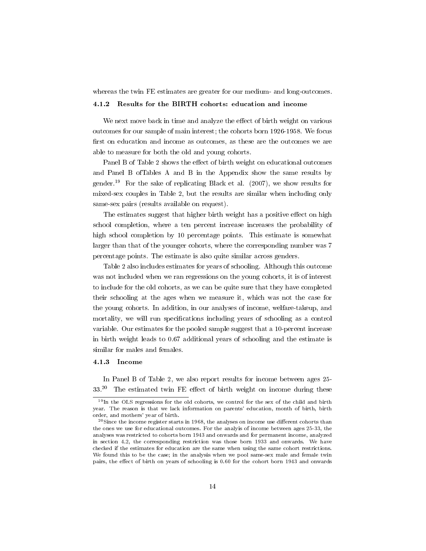whereas the twin FE estimates are greater for our medium- and long-outcomes.

#### 4.1.2 Results for the BIRTH cohorts: education and income

We next move back in time and analyze the effect of birth weight on various outcomes for our sample of main interest; the cohorts born 1926-1958. We focus first on education and income as outcomes, as these are the outcomes we are able to measure for both the old and young cohorts.

Panel B of Table 2 shows the effect of birth weight on educational outcomes and Panel B ofTables A and B in the Appendix show the same results by gender.<sup>19</sup> For the sake of replicating Black et al. (2007), we show results for mixed-sex couples in Table 2, but the results are similar when including only same-sex pairs (results available on request).

The estimates suggest that higher birth weight has a positive effect on high school completion, where a ten percent increase increases the probability of high school completion by 10 percentage points. This estimate is somewhat larger than that of the younger cohorts, where the corresponding number was 7 percentage points. The estimate is also quite similar across genders.

Table 2 also includes estimates for years of schooling. Although this outcome was not included when we ran regressions on the young cohorts, it is of interest to include for the old cohorts, as we can be quite sure that they have completed their schooling at the ages when we measure it, which was not the case for the young cohorts. In addition, in our analyses of income, welfare-takeup, and mortality, we will run specifications including years of schooling as a control variable. Our estimates for the pooled sample suggest that a 10-percent increase in birth weight leads to 0.67 additional years of schooling and the estimate is similar for males and females.

#### 4.1.3 Income

In Panel B of Table 2, we also report results for income between ages 25-  $33.<sup>20</sup>$  The estimated twin FE effect of birth weight on income during these

<sup>19</sup>In the OLS regressions for the old cohorts, we control for the sex of the child and birth year. The reason is that we lack information on parents' education, month of birth, birth order, and mothers' year of birth.

 $^{20}$ Since the income register starts in 1968, the analyses on income use different cohorts than the ones we use for educational outcomes. For the analyis of income between ages 25-33, the analyses was restricted to cohorts born 1943 and onwards and for permanent income, analyzed in section 4.2, the corresponding restriction was those born 1933 and onwards. We have checked if the estimates for education are the same when using the same cohort restrictions. We found this to be the case; in the analysis when we pool same-sex male and female twin pairs, the effect of birth on years of schooling is 0.60 for the cohort born 1943 and onwards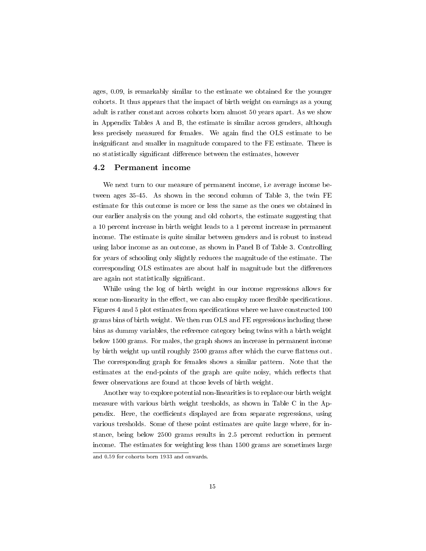ages, 0.09, is remarkably similar to the estimate we obtained for the younger cohorts. It thus appears that the impact of birth weight on earnings as a young adult is rather constant across cohorts born almost 50 years apart. As we show in Appendix Tables A and B, the estimate is similar across genders, although less precisely measured for females. We again find the OLS estimate to be insignificant and smaller in magnitude compared to the FE estimate. There is no statistically significant difference between the estimates, however

#### 4.2 Permanent income

We next turn to our measure of permanent income, i.e average income between ages 35-45. As shown in the second column of Table 3, the twin FE estimate for this outcome is more or less the same as the ones we obtained in our earlier analysis on the young and old cohorts, the estimate suggesting that a 10 percent increase in birth weight leads to a 1 percent increase in permanent income. The estimate is quite similar between genders and is robust to instead using labor income as an outcome, as shown in Panel B of Table 3. Controlling for years of schooling only slightly reduces the magnitude of the estimate. The corresponding OLS estimates are about half in magnitude but the differences are again not statistically signicant.

While using the log of birth weight in our income regressions allows for some non-linearity in the effect, we can also employ more flexible specifications. Figures 4 and 5 plot estimates from specifications where we have constructed 100 grams bins of birth weight. We then run OLS and FE regressions including these bins as dummy variables, the reference category being twins with a birth weight below 1500 grams. For males, the graph shows an increase in permanent income by birth weight up until roughly 2500 grams after which the curve flattens out. The corresponding graph for females shows a similar pattern. Note that the estimates at the end-points of the graph are quite noisy, which reflects that fewer observations are found at those levels of birth weight.

Another way to explore potential non-linearities is to replace our birth weight measure with various birth weight tresholds, as shown in Table C in the Appendix. Here, the coefficients displayed are from separate regressions, using various tresholds. Some of these point estimates are quite large where, for instance, being below 2500 grams results in 2.5 percent reduction in perment income. The estimates for weighting less than 1500 grams are sometimes large

and 0.59 for cohorts born 1933 and onwards.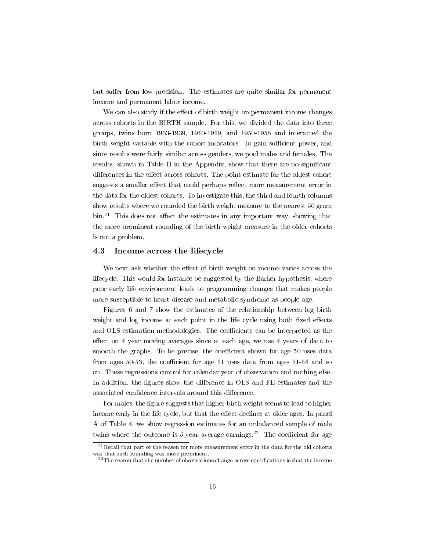but suffer from low precision. The estimates are quite similar for permanent income and permanent labor income.

We can also study if the effect of birth weight on permanent income changes across cohorts in the BIRTH sample. For this, we divided the data into three groups, twins born 1933-1939, 1940-1949, and 1950-1958 and interacted the birth weight variable with the cohort indicators. To gain sufficient power, and since results were fairly similar across genders, we pool males and females. The results, shown in Table D in the Appendix, show that there are no signicant differences in the effect across cohorts. The point estimate for the oldest cohort suggests a smaller effect that could perhaps reflect more measurement error in the data for the oldest cohorts. To investigate this, the third and fourth columns show results where we rounded the birth weight measure to the nearest 50 gram  $\sin^{21}$  This does not affect the estimates in any important way, showing that the more prominent rounding of the birth weight measure in the older cohorts is not a problem.

#### 4.3 Income across the lifecycle

We next ask whether the effect of birth weight on income varies across the lifecycle. This would for instance be suggested by the Barker hypothesis, where poor early life environment leads to programming changes that makes people more susceptible to heart disease and metabolic syndrome as people age.

Figures 6 and 7 show the estimates of the relationship between log birth weight and log income at each point in the life cycle using both fixed effects and OLS estimation methodologies. The coefficients can be interpreted as the effect on 4 year moving averages since at each age, we use 4 years of data to smooth the graphs. To be precise, the coefficient shown for age 50 uses data from ages 50-53, the coefficient for age 51 uses data from ages  $51-54$  and so on. These regressions control for calendar year of observation and nothing else. In addition, the figures show the difference in OLS and FE estimates and the associated confidence intervals around this difference.

For males, the figure suggests that higher birth weight seems to lead to higher income early in the life cycle, but that the effect declines at older ages. In panel A of Table 4, we show regression estimates for an unbalanced sample of male twins where the outcome is 5-year average earnings.<sup>22</sup> The coefficient for age

 $^{21}$  Recall that part of the reason for more measurement error in the data for the old cohorts was that such rounding was more prominent.

 $^{22}$ The reason that the number of observations change across specifications is that the income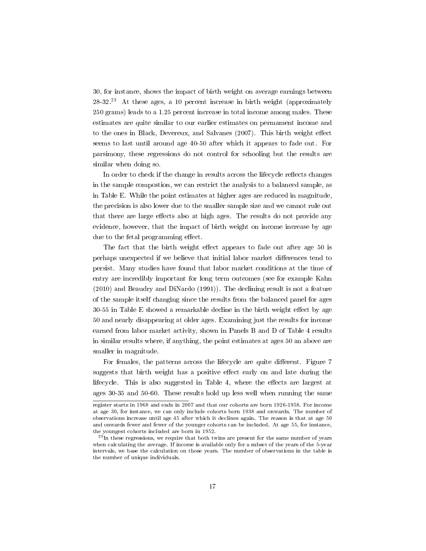30, for instance, shows the impact of birth weight on average earnings between 28-32.<sup>23</sup> At these ages, a 10 percent increase in birth weight (approximately 250 grams) leads to a 1.25 percent increase in total income among males. These estimates are quite similar to our earlier estimates on permament income and to the ones in Black, Devereux, and Salvanes (2007). This birth weight effect seems to last until around age 40-50 after which it appears to fade out. For parsimony, these regressions do not control for schooling but the results are similar when doing so.

In order to check if the change in results across the lifecycle reflects changes in the sample compostion, we can restrict the analysis to a balanced sample, as in Table E. While the point estimates at higher ages are reduced in magnitude, the precision is also lower due to the smaller sample size and we cannot rule out that there are large effects also at high ages. The results do not provide any evidence, however, that the impact of birth weight on income increase by age due to the fetal programming effect.

The fact that the birth weight effect appears to fade out after age 50 is perhaps unexpected if we believe that initial labor market differences tend to persist. Many studies have found that labor market conditions at the time of entry are incredibly important for long term outcomes (see for example Kahn (2010) and Beaudry and DiNardo (1991)). The declining result is not a feature of the sample itself changing since the results from the balanced panel for ages  $30-55$  in Table E showed a remarkable decline in the birth weight effect by age 50 and nearly disappearing at older ages. Examining just the results for income earned from labor market activity, shown in Panels B and D of Table 4 results in similar results where, if anything, the point estimates at ages 50 an above are smaller in magnitude.

For females, the patterns across the lifecycle are quite different. Figure 7 suggests that birth weight has a positive effect early on and late during the lifecycle. This is also suggested in Table 4, where the effects are largest at ages 30-35 and 50-60. These results hold up less well when running the same

register starts in 1968 and ends in 2007 and that our cohorts are born 1926-1958. For income at age 30, for instance, we can only include cohorts born 1938 and onwards. The number of observations increase until age 45 after which it declines again. The reason is that at age 50 and onwards fewer and fewer of the younger cohorts can be included. At age 55, for instance, the youngest cohorts included are born in 1952.

<sup>&</sup>lt;sup>23</sup>In these regressions, we require that both twins are present for the same number of years when calculating the average. If income is available only for a subset of the years of the 5-year intervals, we base the calculation on those years. The number of observations in the table is the number of unique individuals.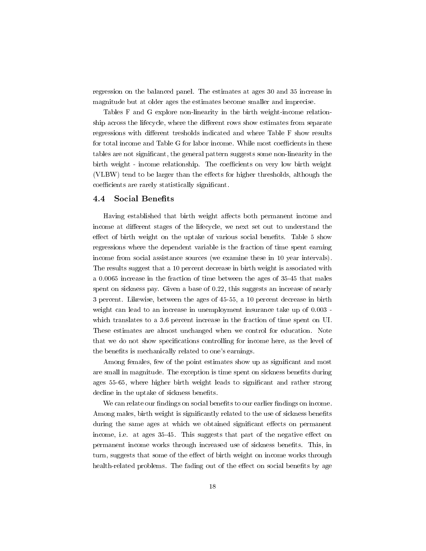regression on the balanced panel. The estimates at ages 30 and 35 increase in magnitude but at older ages the estimates become smaller and imprecise.

Tables F and G explore non-linearity in the birth weight-income relationship across the lifecycle, where the different rows show estimates from separate regressions with different tresholds indicated and where Table F show results for total income and Table G for labor income. While most coefficients in these tables are not signicant, the general pattern suggests some non-linearity in the birth weight - income relationship. The coefficients on very low birth weight (VLBW) tend to be larger than the effects for higher thresholds, although the coefficients are rarely statistically significant.

#### 4.4 Social Benefits

Having established that birth weight affects both permanent income and income at different stages of the lifecycle, we next set out to understand the effect of birth weight on the uptake of various social benefits. Table 5 show regressions where the dependent variable is the fraction of time spent earning income from social assistance sources (we examine these in 10 year intervals). The results suggest that a 10 percent decrease in birth weight is associated with a 0.0065 increase in the fraction of time between the ages of 35-45 that males spent on sickness pay. Given a base of 0.22, this suggests an increase of nearly 3 percent. Likewise, between the ages of 45-55, a 10 percent decrease in birth weight can lead to an increase in unemployment insurance take up of 0.003 which translates to a 3.6 percent increase in the fraction of time spent on UI. These estimates are almost unchanged when we control for education. Note that we do not show specifications controlling for income here, as the level of the benefits is mechanically related to one's earnings.

Among females, few of the point estimates show up as signicant and most are small in magnitude. The exception is time spent on sickness benefits during ages 55-65, where higher birth weight leads to significant and rather strong decline in the uptake of sickness benefits.

We can relate our findings on social benefits to our earlier findings on income. Among males, birth weight is significantly related to the use of sickness benefits during the same ages at which we obtained significant effects on permanent income, i.e. at ages 35-45. This suggests that part of the negative effect on permanent income works through increased use of sickness benets. This, in turn, suggests that some of the effect of birth weight on income works through health-related problems. The fading out of the effect on social benefits by age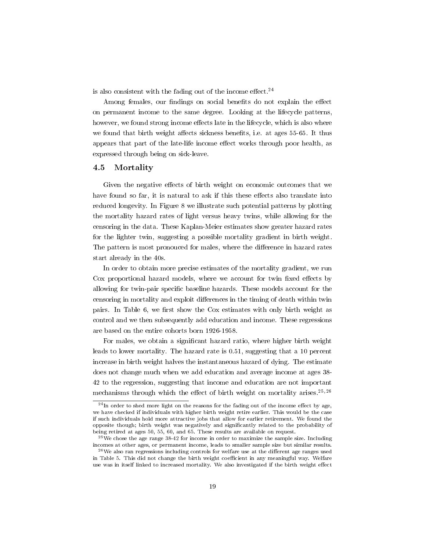is also consistent with the fading out of the income effect.<sup>24</sup>

Among females, our findings on social benefits do not explain the effect on permanent income to the same degree. Looking at the lifecycle patterns, however, we found strong income effects late in the lifecycle, which is also where we found that birth weight affects sickness benefits, i.e. at ages 55-65. It thus appears that part of the late-life income effect works through poor health, as expressed through being on sick-leave.

#### 4.5 Mortality

Given the negative effects of birth weight on economic outcomes that we have found so far, it is natural to ask if this these effects also translate into reduced longevity. In Figure 8 we illustrate such potential patterns by plotting the mortality hazard rates of light versus heavy twins, while allowing for the censoring in the data. These Kaplan-Meier estimates show greater hazard rates for the lighter twin, suggesting a possible mortality gradient in birth weight. The pattern is most pronouced for males, where the difference in hazard rates start already in the 40s.

In order to obtain more precise estimates of the mortality gradient, we run Cox proportional hazard models, where we account for twin fixed effects by allowing for twin-pair specific baseline hazards. These models account for the censoring in mortality and exploit differences in the timing of death within twin pairs. In Table 6, we first show the Cox estimates with only birth weight as control and we then subsequently add education and income. These regressions are based on the entire cohorts born 1926-1958.

For males, we obtain a significant hazard ratio, where higher birth weight leads to lower mortality. The hazard rate is 0.51, suggesting that a 10 percent increase in birth weight halves the instantaneous hazard of dying. The estimate does not change much when we add education and average income at ages 38- 42 to the regression, suggesting that income and education are not important mechanisms through which the effect of birth weight on mortality arises.<sup>25,26</sup>

 $^{24}$ In order to shed more light on the reasons for the fading out of the income effect by age, we have checked if individuals with higher birth weight retire earlier. This would be the case if such individuals hold more attractive jobs that allow for earlier retirement. We found the opposite though; birth weight was negatively and signicantly related to the probability of being retired at ages 50, 55, 60, and 65. These results are available on request.

 $25$ We chose the age range 38-42 for income in order to maximize the sample size. Including incomes at other ages, or permanent income, leads to smaller sample size but similar results.

 $26$ We also ran regressions including controls for welfare use at the different age ranges used in Table 5. This did not change the birth weight coefficient in any meaningful way. Welfare use was in itself linked to increased mortality. We also investigated if the birth weight effect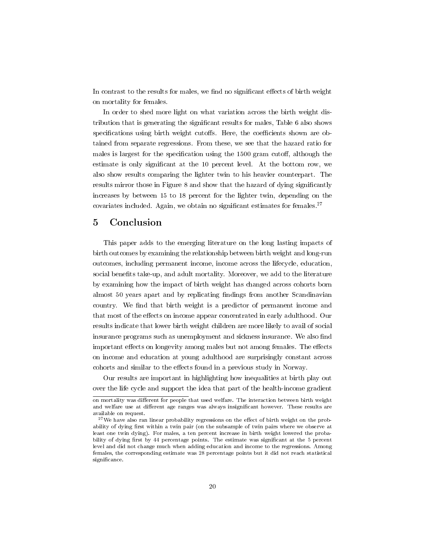In contrast to the results for males, we find no significant effects of birth weight on mortality for females.

In order to shed more light on what variation across the birth weight distribution that is generating the significant results for males, Table 6 also shows specifications using birth weight cutoffs. Here, the coefficients shown are obtained from separate regressions. From these, we see that the hazard ratio for males is largest for the specification using the  $1500$  gram cutoff, although the estimate is only significant at the 10 percent level. At the bottom row, we also show results comparing the lighter twin to his heavier counterpart. The results mirror those in Figure 8 and show that the hazard of dying signicantly increases by between 15 to 18 percent for the lighter twin, depending on the covariates included. Again, we obtain no significant estimates for females.<sup>27</sup>

### 5 Conclusion

This paper adds to the emerging literature on the long lasting impacts of birth outcomes by examining the relationship between birth weight and long-run outcomes, including permanent income, income across the lifecycle, education, social benefits take-up, and adult mortality. Moreover, we add to the literature by examining how the impact of birth weight has changed across cohorts born almost 50 years apart and by replicating findings from another Scandinavian country. We find that birth weight is a predictor of permanent income and that most of the effects on income appear concentrated in early adulthood. Our results indicate that lower birth weight children are more likely to avail of social insurance programs such as unemployment and sickness insurance. We also find important effects on longevity among males but not among females. The effects on income and education at young adulthood are surprisingly constant across cohorts and similar to the effects found in a previous study in Norway.

Our results are important in highlighting how inequalities at birth play out over the life cycle and support the idea that part of the health-income gradient

on mortality was different for people that used welfare. The interaction between birth weight and welfare use at different age ranges was always insignificant however. These results are available on request.

 $27$ We have also ran linear probability regressions on the effect of birth weight on the probability of dying first within a twin pair (on the subsample of twin pairs where we observe at least one twin dying). For males, a ten percent increase in birth weight lowered the probability of dying first by 44 percentage points. The estimate was significant at the 5 percent level and did not change much when adding education and income to the regressions. Among females, the corresponding estimate was 28 percentage points but it did not reach statistical significance.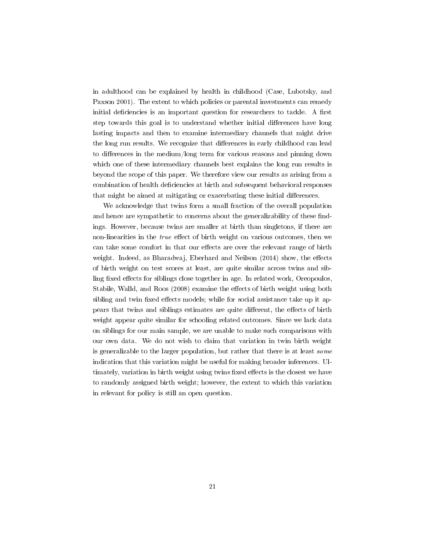in adulthood can be explained by health in childhood (Case, Lubotsky, and Paxson 2001). The extent to which policies or parental investments can remedy initial deficiencies is an important question for researchers to tackle. A first step towards this goal is to understand whether initial differences have long lasting impacts and then to examine intermediary channels that might drive the long run results. We recognize that differences in early childhood can lead to differences in the medium/long term for various reasons and pinning down which one of these intermediary channels best explains the long run results is beyond the scope of this paper. We therefore view our results as arising from a combination of health deciencies at birth and subsequent behavioral responses that might be aimed at mitigating or exacerbating these initial differences.

We acknowledge that twins form a small fraction of the overall population and hence are sympathetic to concerns about the generalizability of these findings. However, because twins are smaller at birth than singletons, if there are non-linearities in the *true* effect of birth weight on various outcomes, then we can take some comfort in that our effects are over the relevant range of birth weight. Indeed, as Bharadwaj, Eberhard and Neilson (2014) show, the effects of birth weight on test scores at least, are quite similar across twins and sibling fixed effects for siblings close together in age. In related work, Oreopoulos, Stabile, Walld, and Roos (2008) examine the effects of birth weight using both sibling and twin fixed effects models; while for social assistance take up it appears that twins and siblings estimates are quite different, the effects of birth weight appear quite similar for schooling related outcomes. Since we lack data on siblings for our main sample, we are unable to make such comparisons with our own data. We do not wish to claim that variation in twin birth weight is generalizable to the larger population, but rather that there is at least some indication that this variation might be useful for making broader inferences. Ultimately, variation in birth weight using twins fixed effects is the closest we have to randomly assigned birth weight; however, the extent to which this variation in relevant for policy is still an open question.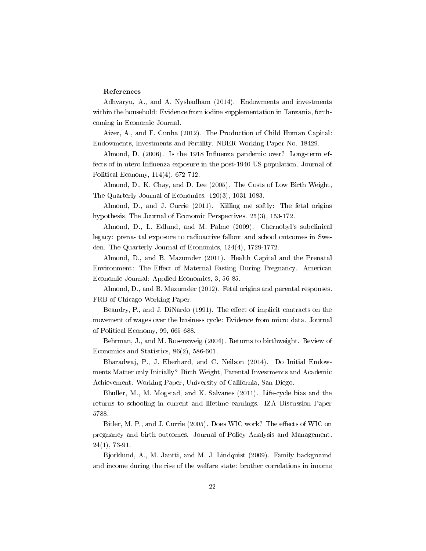#### References

Adhvaryu, A., and A. Nyshadham (2014). Endowments and investments within the household: Evidence from iodine supplementation in Tanzania, forthcoming in Economic Journal.

Aizer, A., and F. Cunha (2012). The Production of Child Human Capital: Endowments, Investments and Fertility. NBER Working Paper No. 18429.

Almond, D. (2006). Is the 1918 Influenza pandemic over? Long-term effects of in utero Influenza exposure in the post-1940 US population. Journal of Political Economy, 114(4), 672-712.

Almond, D., K. Chay, and D. Lee (2005). The Costs of Low Birth Weight, The Quarterly Journal of Economics. 120(3), 1031-1083.

Almond, D., and J. Currie (2011). Killing me softly: The fetal origins hypothesis, The Journal of Economic Perspectives. 25(3), 153-172.

Almond, D., L. Edlund, and M. Palme (2009). Chernobyl's subclinical legacy: prena- tal exposure to radioactive fallout and school outcomes in Sweden. The Quarterly Journal of Economics, 124(4), 1729-1772.

Almond, D., and B. Mazumder (2011). Health Capital and the Prenatal Environment: The Effect of Maternal Fasting During Pregnancy. American Economic Journal: Applied Economics, 3, 56-85.

Almond, D., and B. Mazumder (2012). Fetal origins and parental responses. FRB of Chicago Working Paper.

Beaudry, P., and J. DiNardo (1991). The effect of implicit contracts on the movement of wages over the business cycle: Evidence from micro data. Journal of Political Economy, 99, 665-688.

Behrman, J., and M. Rosenzweig (2004). Returns to birthweight. Review of Economics and Statistics, 86(2), 586-601.

Bharadwaj, P., J. Eberhard, and C. Neilson (2014). Do Initial Endowments Matter only Initially? Birth Weight, Parental Investments and Academic Achievement. Working Paper, University of California, San Diego.

Bhuller, M., M. Mogstad, and K. Salvanes (2011). Life-cycle bias and the returns to schooling in current and lifetime earnings. IZA Discussion Paper 5788.

Bitler, M. P., and J. Currie (2005). Does WIC work? The effects of WIC on pregnancy and birth outcomes. Journal of Policy Analysis and Management. 24(1), 73-91.

Bjorklund, A., M. Jantti, and M. J. Lindquist (2009). Family background and income during the rise of the welfare state: brother correlations in income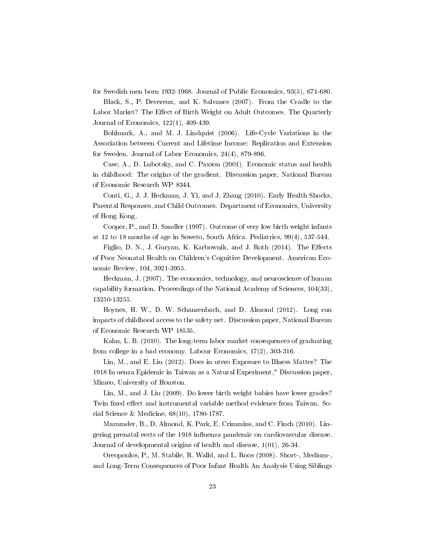for Swedish men born 1932-1968. Journal of Public Economics, 93(5), 671-680.

Black, S., P. Devereux, and K. Salvanes (2007). From the Cradle to the Labor Market? The Effect of Birth Weight on Adult Outcomes. The Quarterly Journal of Economics, 122(1), 409-439.

Bohlmark, A., and M. J. Lindquist (2006). Life-Cycle Variations in the Association between Current and Lifetime Income: Replication and Extension for Sweden. Journal of Labor Economics, 24(4), 879-896.

Case, A., D. Lubotsky, and C. Paxson (2001). Economic status and health in childhood: The origins of the gradient. Discussion paper, National Bureau of Economic Research WP 8344.

Conti, G., J. J. Heckman, J. Yi, and J. Zhang (2010). Early Health Shocks, Parental Responses, and Child Outcomes. Department of Economics, University of Hong Kong.

Cooper, P., and D. Sandler (1997). Outcome of very low birth weight infants at 12 to 18 months of age in Soweto, South Africa. Pediatrics, 99(4), 537-544.

Figlio, D. N., J. Guryan, K. Karbownik, and J. Roth  $(2014)$ . The Effects of Poor Neonatal Health on Children's Cognitive Development. American Economic Review, 104, 3921-3955.

Heckman, J. (2007). The economics, technology, and neuroscience of human capability formation. Proceedings of the National Academy of Sciences, 104(33), 13250-13255.

Hoynes, H. W., D. W. Schanzenbach, and D. Almond (2012). Long run impacts of childhood access to the safety net. Discussion paper, National Bureau of Economic Research WP 18535.

Kahn, L. B. (2010). The long-term labor market consequences of graduating from college in a bad economy. Labour Economics, 17(2), 303-316.

Lin, M., and E. Liu (2012). Does in utero Exposure to Illness Matter? The 1918 In uenza Epidemic in Taiwan as a Natural Experiment," Discussion paper, Mimeo, University of Houston.

Lin, M., and J. Liu (2009). Do lower birth weight babies have lower grades? Twin fixed effect and instrumental variable method evidence from Taiwan. Social Science & Medicine, 68(10), 1780-1787.

Mazumder, B., D. Almond, K. Park, E. Crimmins, and C. Finch (2010). Lingering prenatal eects of the 1918 influenza pandemic on cardiovascular disease. Journal of developmental origins of health and disease, 1(01), 26-34.

Oreopoulos, P., M. Stabile, R. Walld, and L. Roos (2008). Short-, Medium-, and Long-Term Consequences of Poor Infant Health An Analysis Using Siblings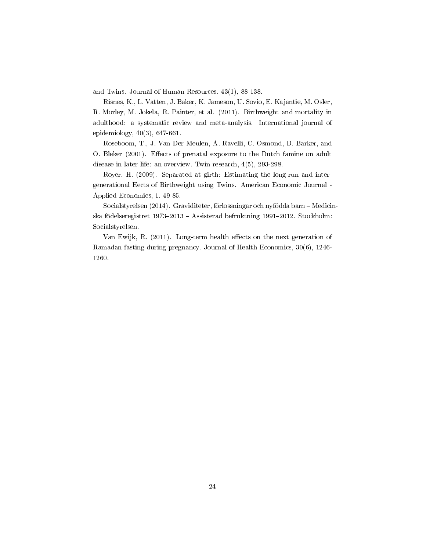and Twins. Journal of Human Resources, 43(1), 88-138.

Risnes, K., L. Vatten, J. Baker, K. Jameson, U. Sovio, E. Kajantie, M. Osler, R. Morley, M. Jokela, R. Painter, et al. (2011). Birthweight and mortality in adulthood: a systematic review and meta-analysis. International journal of epidemiology, 40(3), 647-661.

Roseboom, T., J. Van Der Meulen, A. Ravelli, C. Osmond, D. Barker, and O. Bleker (2001). Effects of prenatal exposure to the Dutch famine on adult disease in later life: an overview. Twin research, 4(5), 293-298.

Royer, H. (2009). Separated at girth: Estimating the long-run and intergenerational Eects of Birthweight using Twins. American Economic Journal - Applied Economics, 1, 49-85.

Socialstyrelsen (2014). Graviditeter, förlossningar och nyfödda barn - Medicinska födelseregistret  $1973-2013$  – Assisterad befruktning 1991-2012. Stockholm: Socialstyrelsen.

Van Ewijk, R. (2011). Long-term health effects on the next generation of Ramadan fasting during pregnancy. Journal of Health Economics, 30(6), 1246- 1260.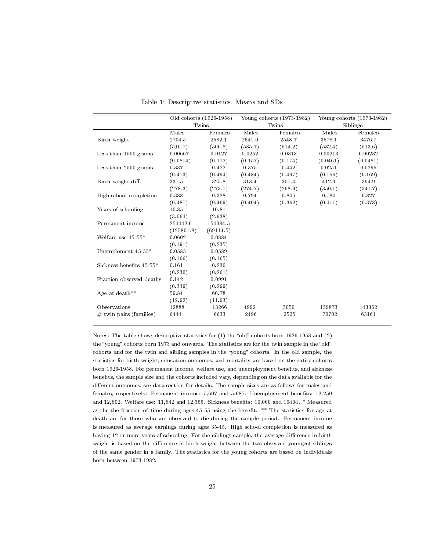|                            | Old cohorts (1926-1958) |           |         | Young cohorts (1973-1982) |          | Young cohorts (1973-1982) |
|----------------------------|-------------------------|-----------|---------|---------------------------|----------|---------------------------|
|                            | Twins                   |           |         | Twins                     |          | Siblings                  |
|                            | Males                   | Females   | Males   | Females                   | Males    | Females                   |
| Birth weight               | 2704.5                  | 2582.1    | 2641.0  | 2548.7                    | 3578.1   | 3476.7                    |
|                            | (510.7)                 | (500.8)   | (535.7) | (514.2)                   | (532.4)  | (513.6)                   |
| Less than 1500 grams       | 0.00667                 | 0.0127    | 0.0252  | 0.0313                    | 0.00213  | 0.00232                   |
|                            | (0.0814)                | (0.112)   | (0.157) | (0.174)                   | (0.0461) | (0.0481)                  |
| Less than 2500 grams       | 0.337                   | 0.422     | 0.375   | 0.442                     | 0.0251   | 0.0295                    |
|                            | (0.473)                 | (0.494)   | (0.484) | (0.497)                   | (0.156)  | (0.169)                   |
| Birth weight diff.         | 337.5                   | 325.8     | 313.4   | 307.4                     | 412.3    | 394.9                     |
|                            | (278.3)                 | (273.7)   | (274.7) | (268.9)                   | (350.1)  | (341.7)                   |
| High school completion     | 0.388                   | 0.328     | 0.794   | 0.845                     | 0.784    | 0.827                     |
|                            | (0.487)                 | (0.469)   | (0.404) | (0.362)                   | (0.411)  | (0.378)                   |
| Years of schooling         | 10.85                   | 10.81     |         |                           |          |                           |
|                            | (3.064)                 | (2.938)   |         |                           |          |                           |
| Permanent income           | 254442.6                | 154084.5  |         |                           |          |                           |
|                            | (125801.8)              | (69114.5) |         |                           |          |                           |
| Welfare use $45-55*$       | 0.0602                  | 0.0884    |         |                           |          |                           |
|                            | (0.191)                 | (0.235)   |         |                           |          |                           |
| Unemploment 45-55*         | 0.0585                  | 0.0589    |         |                           |          |                           |
|                            | (0.166)                 | (0.165)   |         |                           |          |                           |
| Sickness benefits 45-55*   | 0.161                   | 0.230     |         |                           |          |                           |
|                            | (0.230)                 | (0.261)   |         |                           |          |                           |
| Fraction observed deaths   | 0.142                   | 0.0991    |         |                           |          |                           |
|                            | (0.349)                 | (0.299)   |         |                           |          |                           |
| Age at death**             | 59.84                   | 60.78     |         |                           |          |                           |
|                            | (12.92)                 | (11.93)   |         |                           |          |                           |
| Observations               | 12888                   | 13266     | 4992    | 5050                      | 159873   | 143362                    |
| $\#$ twin pairs (families) | 6444                    | 6633      | 2496    | 2525                      | 70702    | 63161                     |
|                            |                         |           |         |                           |          |                           |

Table 1: Descriptive statistics. Means and SDs.

Notes: The table shows descriptive statistics for  $(1)$  the "old" cohorts born 1926-1958 and  $(2)$ the "young" cohorts born 1973 and onwards. The statistics are for the twin sample in the "old" cohorts and for the twin and sibling samples in the "young" cohorts. In the old sample, the statistics for birth weight, education outcomes, and mortality are based on the entire cohorts born 1926-1958. For permanent income, welfare use, and unemployment benefits, and sickness benefits, the sample size and the cohorts included vary, depending on the data available for the different outcomes, see data section for details. The sample sizes are as follows for males and females, respectively: Permanent income: 5,607 and 5,687. Unemployment benefits: 12,250 and 12,802. Welfare use: 11,842 and 12,366. Sickness benets: 10,060 and 10404. \* Measured as the the fraction of time during ages 45-55 using the benefit. \*\* The statistics for age at death are for those who are observed to die during the sample period. Permanent income is measured as average earnings during ages 35-45. High school completion is measured as having 12 or more years of schooling. For the siblings sample, the average difference in birth weight is based on the difference in birth weight between the two observed youngest siblings of the same gender in a family. The statistics for the young cohorts are based on individuals born between 1973-1982.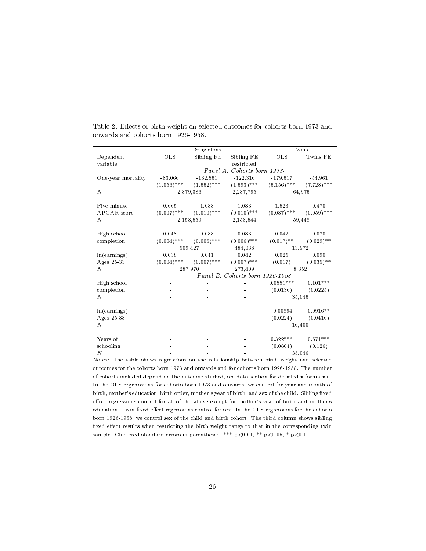|                    |               | Singletons    |                                 | Twins         |               |  |
|--------------------|---------------|---------------|---------------------------------|---------------|---------------|--|
| Dependent          | <b>OLS</b>    | Sibling FE    | Sibling FE                      | <b>OLS</b>    | Twins FE      |  |
| variable           |               |               | restricted                      |               |               |  |
|                    |               |               | Panel A: Cohorts born 1973      |               |               |  |
| One-year mortality | $-83.066$     | $-132.561$    | $-122.316$                      | $-179.617$    | $-54.961$     |  |
|                    | $(1.056)$ *** | $(1.662)$ *** | $(1.693)$ ***                   | $(6.156)$ *** | $(7.728)$ *** |  |
| $\cal N$           |               | 2,379,386     | 2,237,795                       |               | 64,976        |  |
|                    |               |               |                                 |               |               |  |
| Five minute        | 0.665         | 1.033         | 1.033                           | 1.523         | 0.470         |  |
| APGAR score        | $(0.007)$ *** | $(0.010)$ *** | $(0.010)$ ***                   | $(0.037)$ *** | $(0.059)$ *** |  |
| N                  |               | 2,153,559     | 2,153,544                       |               | 59,448        |  |
|                    |               |               |                                 |               |               |  |
| High school        | 0.048         | 0.033         | 0.033                           | 0.042         | 0.070         |  |
| completion         | $(0.004)$ *** | $(0.006)$ *** | $(0.006)$ ***                   | $(0.017)$ **  | $(0.029)$ **  |  |
|                    |               | 509,427       | 484,038                         |               | 13,972        |  |
| ln(earnings)       | 0.038         | 0.041         | 0.042                           | 0.025         | 0.090         |  |
| Ages 25-33         | $(0.004)$ *** | $(0.007)$ *** | $(0.007)$ ***                   | (0.017)       | $(0.035)$ **  |  |
| N                  |               | 287,970       | 273,409                         | 8,352         |               |  |
|                    |               |               | Panel B: Cohorts born 1926-1958 |               |               |  |
| High school        |               |               |                                 | $0.0551***$   | $0.101***$    |  |
| completion         |               |               |                                 | (0.0136)      | (0.0225)      |  |
| $\boldsymbol{N}$   |               |               |                                 |               | 35,046        |  |
|                    |               |               |                                 |               |               |  |
| ln(earnings)       |               |               |                                 | $-0.00894$    | $0.0916**$    |  |
| Ages 25-33         |               |               |                                 | (0.0224)      | (0.0416)      |  |
| $\boldsymbol{N}$   |               |               |                                 |               | 16,400        |  |
|                    |               |               |                                 |               |               |  |
| Years of           |               |               |                                 | $0.322***$    | $0.671***$    |  |
| schooling          |               |               |                                 | (0.0804)      | (0.126)       |  |
| $\boldsymbol{N}$   |               |               |                                 |               | 35,046        |  |

Table 2: Effects of birth weight on selected outcomes for cohorts born 1973 and onwards and cohorts born 1926-1958.

Notes: The table shows regressions on the relationship between birth weight and selected outcomes for the cohorts born 1973 and onwards and for cohorts born 1926-1958. The number of cohorts included depend on the outcome studied, see data section for detailed information. In the OLS regresssions for cohorts born 1973 and onwards, we control for year and month of birth, mother's education, birth order, mother's year of birth, and sex of the child. Sibling fixed effect regressions control for all of the above except for mother's year of birth and mother's education. Twin fixed effect regressions control for sex. In the OLS regressions for the cohorts born 1926-1958, we control sex of the child and birth cohort. The third column shows sibling fixed effect results when restricting the birth weight range to that in the corresponding twin sample. Clustered standard errors in parentheses. \*\*\*  $p<0.01$ , \*\*  $p<0.05$ , \*  $p<0.1$ .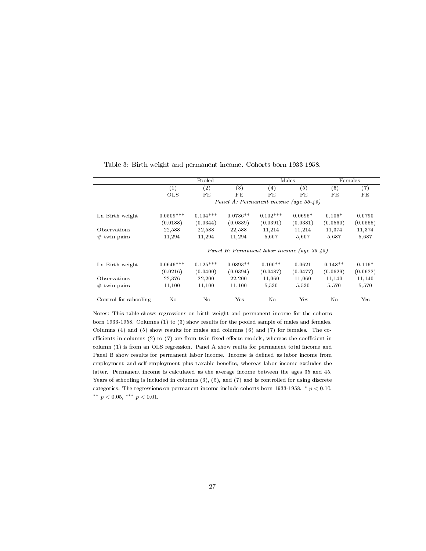|                       |             | Pooled     |                   |                                             | Males     |           | Females  |
|-----------------------|-------------|------------|-------------------|---------------------------------------------|-----------|-----------|----------|
|                       | (1)         | (2)        | $\left( 3\right)$ | (4)                                         | (5)       | (6)       | (7)      |
|                       | <b>OLS</b>  | FE         | FE                | FE                                          | FE        | FE        | FE       |
|                       |             |            |                   | Panel A: Permanent income (age 35-45)       |           |           |          |
| Ln Birth weight       | $0.0509***$ | $0.104***$ | $0.0736**$        | $0.102$ ***                                 | $0.0695*$ | $0.106*$  | 0.0790   |
|                       | (0.0188)    | (0.0344)   | (0.0339)          | (0.0391)                                    | (0.0381)  | (0.0560)  | (0.0555) |
| Observations          | 22,588      | 22,588     | 22,588            | 11,214                                      | 11,214    | 11,374    | 11,374   |
| $#$ twin pairs        | 11,294      | 11,294     | 11,294            | 5,607                                       | 5,607     | 5,687     | 5,687    |
|                       |             |            |                   | Panel B: Permanent labor income (age 35-45) |           |           |          |
| Ln Birth weight       | $0.0646***$ | $0.125***$ | $0.0893**$        | $0.100**$                                   | 0.0621    | $0.148**$ | $0.116*$ |
|                       | (0.0216)    | (0.0400)   | (0.0394)          | (0.0487)                                    | (0.0477)  | (0.0629)  | (0.0622) |
| Observations          | 22,376      | 22,200     | 22,200            | 11,060                                      | 11,060    | 11,140    | 11,140   |
| $#$ twin pairs        | 11,100      | 11,100     | 11,100            | 5,530                                       | 5,530     | 5,570     | 5,570    |
| Control for schooling | No          | No         | Yes               | No                                          | Yes       | No        | Yes      |

Table 3: Birth weight and permanent income. Cohorts born 1933-1958.

Notes: This table shows regressions on birth weight and permanent income for the cohorts born 1933-1958. Columns (1) to (3) show results for the pooled sample of males and females. Columns (4) and (5) show results for males and columns (6) and (7) for females. The coefficients in columns (2) to (7) are from twin fixed effects models, whereas the coefficient in column (1) is from an OLS regression. Panel A show reults for permanent total income and Panel B show results for permanent labor income. Income is defined as labor income from employment and self-employment plus taxable benets, whereas labor income excludes the latter. Permanent income is calculated as the average income between the ages 35 and 45. Years of schooling is included in columns (3), (5), and (7) and is controlled for using discrete categories. The regressions on permanent income include cohorts born 1933-1958.  $*$   $p < 0.10$ , \*\*  $p < 0.05$ , \*\*\*  $p < 0.01$ .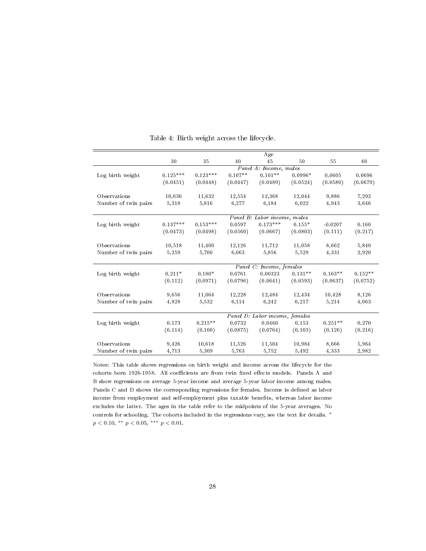|                      |                          |            |           | Age                            |           |           |           |
|----------------------|--------------------------|------------|-----------|--------------------------------|-----------|-----------|-----------|
|                      | 30                       | 35         | 40        | 45                             | 50        | 55        | 60        |
|                      |                          |            |           | Panel A: Income, males         |           |           |           |
| Log birth weight     | $0.125***$               | $0.123***$ | $0.107**$ | $0.101**$                      | $0.0996*$ | 0.0605    | 0.0696    |
|                      | (0.0451)                 | (0.0448)   | (0.0447)  | (0.0489)                       | (0.0524)  | (0.0580)  | (0.0679)  |
| Observations         | 10,636                   | 11,632     | 12,554    | 12,368                         | 12,044    | 9,886     | 7,292     |
| Number of twin pairs | 5,318                    | 5,816      | 6,277     | 6,184                          | 6.022     | 4,943     | 3,646     |
|                      |                          |            |           | Panel B: Labor income, males   |           |           |           |
| Log birth weight     | $0.137***$               | $0.153***$ | 0.0597    | $0.173***$                     | $0.155*$  | $-0.0207$ | 0.160     |
|                      | (0.0473)                 | (0.0498)   | (0.0560)  | (0.0667)                       | (0.0803)  | (0.111)   | (0.217)   |
| Observations         | 10,518                   | 11,400     | 12,126    | 11,712                         | 11,058    | 8.662     | 5,840     |
| Number of twin pairs | 5,259                    | 5,700      | 6,063     | 5,856                          | 5.529     | 4,331     | 2,920     |
|                      | Panel C: Income, females |            |           |                                |           |           |           |
| Log birth weight     | $0.211*$                 | $0.180*$   | 0.0761    | 0.00323                        | $0.131**$ | $0.163**$ | $0.152**$ |
|                      | (0.112)                  | (0.0971)   | (0.0796)  | (0.0641)                       | (0.0593)  | (0.0637)  | (0.0752)  |
| Observations         | 9,656                    | 11,064     | 12,228    | 12,484                         | 12,434    | 10,428    | 8,126     |
| Number of twin pairs | 4,828                    | 5,532      | 6,114     | 6,242                          | 6,217     | 5,214     | 4,063     |
|                      |                          |            |           | Panel D: Labor income, females |           |           |           |
| Log birth weight     | 0.173                    | $0.215**$  | 0.0732    | 0.0460                         | 0.153     | $0.251**$ | 0.270     |
|                      | (0.114)                  | (0.100)    | (0.0875)  | (0.0764)                       | (0.103)   | (0.126)   | (0.216)   |
| Observations         | 9,426                    | 10,618     | 11,526    | 11,504                         | 10,984    | 8,666     | 5,964     |
| Number of twin pairs | 4,713                    | 5,309      | 5,763     | 5,752                          | 5,492     | 4,333     | 2,982     |

Table 4: Birth weight across the lifecycle.

Notes: This table shows regressions on birth weight and income across the lifecycle for the cohorts born 1926-1958. All coefficients are from twin fixed effects models. Panels A and B show regressions on average 5-year income and average 5-year labor income among males. Panels C and D shows the corresponding regressions for females. Income is defined as labor income from employment and self-employment plus taxable benefits, whereas labor income excludes the latter. The ages in the table refer to the midpoints of the 5-year averages. No controls for schooling. The cohorts included in the regressions vary, see the text for details. <sup>∗</sup>  $p < 0.10,$  \*\*  $p < 0.05,$  \*\*\*  $p < 0.01$ .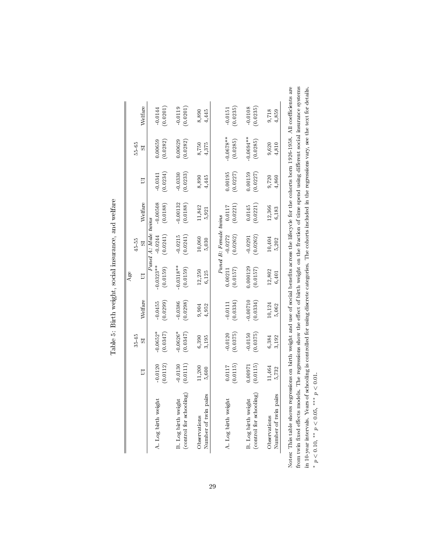|                                                                                                                                             |           |           |           | Age        |                       |            |          |              |           |
|---------------------------------------------------------------------------------------------------------------------------------------------|-----------|-----------|-----------|------------|-----------------------|------------|----------|--------------|-----------|
|                                                                                                                                             |           | $35 - 45$ |           |            | 4555                  |            |          | 5565         |           |
|                                                                                                                                             | $\Box$    | ವ         | Welfare   | 5          | 55                    | Welfare    | $\Box$   | 55           | Welfare   |
|                                                                                                                                             |           |           |           |            | Panel A: Male twins   |            |          |              |           |
| A. Log birth weight                                                                                                                         | $-0.0120$ | $0.0652*$ | 0.0455    | $0.0323**$ | $-0.0244$             | $-0.00508$ | 0.0341   | 0.00659      | $-0.0144$ |
|                                                                                                                                             | (0.0112)  | (0.0347)  | (0.0299)  | (0.0159)   | (0.0241)              | (0.0188)   | (0.0234) | (0.0282)     | (0.0201)  |
| <b>B.</b> Log birth weight                                                                                                                  | $-0.0130$ | $0.0626*$ | 0.0386    | $0.0318**$ | 0.0215                | 0.00132    | 0.0330   | 0.00629      | 0.0119    |
|                                                                                                                                             |           |           |           |            |                       |            |          |              |           |
| (control for schooling)                                                                                                                     | (0.0111)  | (0.0347)  | (0.0298)  | (0.0159)   | (0.0241)              | (0.0188)   | (0.0233) | (0.0282)     | (0.0201)  |
| Observations                                                                                                                                | $11,200$  | 6,390     | 9,904     | 12,250     | 10,060                | 11,842     | 8,890    | 8,750        | 8,890     |
| Number of twin pairs                                                                                                                        | 5,600     | 3,195     | 4,952     | 6,125      | 5,030                 | 5,921      | 4,445    | 4,375        | 4,445     |
|                                                                                                                                             |           |           |           |            |                       |            |          |              |           |
|                                                                                                                                             |           |           |           |            | Panel B: Female twins |            |          |              |           |
| A. Log birth weight                                                                                                                         | 0.0117    | 0.0120    | $-0.0111$ | 0.00211    | $-0.0272$             | 0.0117     | 0.00195  | $-0.0678**$  | $-0.0151$ |
|                                                                                                                                             | (0.0115)  | (0.0375)  | (0.0334)  | (0.0157)   | (0.0262)              | (0.0221)   | (0.0227) | (0.0285)     | (0.0235)  |
|                                                                                                                                             |           |           |           |            |                       |            |          |              |           |
| B. Log birth weight                                                                                                                         | 0.000.0   | $-0.0150$ | 0.00710   | 0.000129   | $-0.0291$             | 0.0145     | 0.00159  | $-0.0694***$ | $-0.0108$ |
| (control for schooling)                                                                                                                     | (0.0115)  | (0.0375)  | (0.0334)  | (0.0157)   | (0.0262)              | (0.0221)   | (0.0227) | (0.0285)     | (0.0235)  |
|                                                                                                                                             |           |           |           |            |                       |            |          |              |           |
| Observations                                                                                                                                | 11,464    | 6,384     | 10,124    | 12,802     | 10,404                | 12,366     | 9,720    | 9,620        | 9,718     |
| Number of twin pairs                                                                                                                        | 5,732     | 3,192     | 5,062     | 6,401      | 5,202                 | 6,183      | 4,860    | 4,810        | 4,859     |
| Thie table charge mamacrane on hirth waight and use of social benefite acrose the lifeorele for the cohorte born 1096-1058. All coefficient |           |           |           |            |                       |            |          |              |           |

Table 5: Birth weight, social insurance, and welfare Table 5: Birth weight, social insurance, and welfare Notes: This table shows regressions on birth weight and use of social benefits across the lifecycle for the cohorts born 1926-1958. All coefficients are from twin fixed effects models. The regressions show the effect of bi Notes: This table shows regressions on birth weight and use of social benets across the lifecycle for the cohorts born 1926-1958. All coecients are from twin fixed effects models. The regressions show the effect of birth weight on the fraction of time spend using different social insurance systems in 10-year intervals. Years of schooling is controlled for using discrete categories. The cohorts included in the regressions vary, see the text for details. \*  $p < 0.10$ , \*\*  $p < 0.05$ , \*\*\*  $p < 0.01$ . p < 0.10, ∗∗ p < 0.05, ∗∗∗ p < 0.01.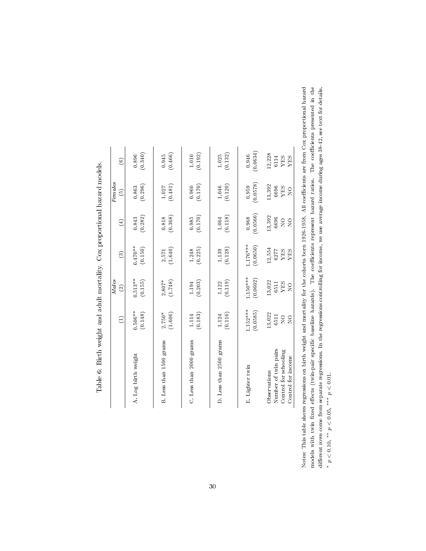|                         | $\ominus$      | Males<br>$\widehat{\infty}$ | $\widehat{c}$ | $\textcircled{\scriptsize{1}}$ | Females<br>$\widehat{\mathfrak{S}}$ | $\widehat{c}$ |
|-------------------------|----------------|-----------------------------|---------------|--------------------------------|-------------------------------------|---------------|
| A. Log birth weight     | $0.506***$     | $0.513***$                  | $0.470***$    | (0.282)                        | (0.296)                             | (0.340)       |
|                         | (0.148)        | (0.155)                     | (0.150)       | 0.843                          | 0.863                               | 0.896         |
| B. Less than 1500 grams | (1.606)        | (1.748)                     | (1.640)       | (0.368)                        | (0.481)                             | (0.466)       |
|                         | $2.750*$       | $2.807*$                    | 2.571         | $0.818\,$                      | 1.027                               | 0.945         |
| C. Less than 2000 grams | (0.183)        | (0.203)                     | (0.225)       | (0.170)                        | (0.170)                             | (0.192)       |
|                         | 1.114          | 1.194                       | 1.248         | 0.985                          | 0.960                               | 1.010         |
| D. Less than 2500 grams | (0.116)        | (0.119)                     | (0.128)       | (0.118)                        | (0.120)                             | (0.132)       |
|                         | 1.124          | 1.122                       | 1.139         | 1.064                          | $1.046\,$                           | 1.025         |
| E. Lighter twin         | 1.152***       | $1.150***$                  | $1.176***$    | (0.0566)                       | (0.0578)                            | (0.0634)      |
|                         | (0.0585)       | (0.0602)                    | (0.0650)      | 0.968                          | 0.959                               | 0.946         |
| Number of twin pairs    | 13,022         | 13,022                      | 12,554        | 13,392                         | 13,392                              | 12,228        |
| Control for schooling   | 6511           | <b>XES</b>                  | 6277          | 6696                           | 6696                                | 6114          |
| Control for income      | $\overline{S}$ | 6511                        | <b>YES</b>    | $\overline{Q}$                 | YES                                 | <b>SHA</b>    |
| Observations            | $\frac{1}{2}$  | $\overline{R}$              | YES           | $\overline{R}$                 | $\overline{Q}$                      | YES           |

Table 6: Birth weight and adult mortality. Cox proportional hazard models.  $\frac{1}{2}$ Ĕ  $\vec{\zeta}$ ł, ł, Ė  $\frac{1}{2}$ 

Notes: This table shows regressions on birth weight and mortality for the cohorts born 1926-1958. All coefficients are from Cox proportional hazard models with twin fixed effects (twin-pair specific baseline hazards). The different rows come from separate regressions. In the regressions controlling for income, we use average income during ages 38-42, see text for details.<br>\*  $p < 0.10, ** p < 0.05, *** p < 0.01$ . Notes: This table shows regressions on birth weight and mortality for the cohorts born 1926-1958. All coefficients are from Cox proportional hazard models with twin fixed effects (twin-pair specific baseline hazards). The coefficients represent hazard ratios. The coefficients presented in the different rows come from separate regressions. In the regressions controlling for income, we use average income during ages 38-42, see text for details. \*  $p < 0.10$ , \*\*  $p < 0.05$ , \*\*\*  $p < 0.01$ .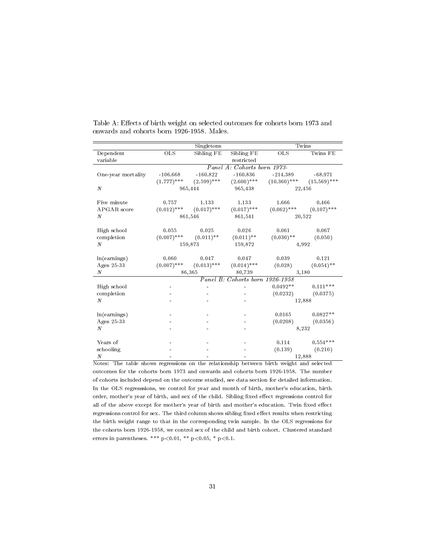|                       |               | Singletons              |                                 | Twins          |                |  |  |
|-----------------------|---------------|-------------------------|---------------------------------|----------------|----------------|--|--|
| Dependent<br>variable | <b>OLS</b>    | Sibling FE              | Sibling FE<br>restricted        | OLS            | Twins FE       |  |  |
|                       |               |                         | Panel A: Cohorts born 1973-     |                |                |  |  |
| One-year mortality    | $-106.668$    | $-160.822$              | $-160.836$                      | $-214.389$     | $-68.971$      |  |  |
|                       | $(1.777)$ *** | $(2.599)$ ***           | $(2.600)$ ***                   | $(10.360)$ *** | $(15.569)$ *** |  |  |
| $\cal N$              |               | 965,444                 | 965,438                         |                | 22,456         |  |  |
| Five minute           | 0.757         | 1.133                   | 1.133                           | 1.666          | 0.466          |  |  |
| APGAR score           | $(0.012)$ *** | $(0.017)$ ***           | $(0.017)$ ***                   | $(0.062)$ ***  | $(0.107)$ ***  |  |  |
| N                     |               | 861,546                 | 861,541                         |                | 20,522         |  |  |
| High school           | 0.055         | 0.025                   | 0.026                           | 0.061          | 0.067          |  |  |
| completion            | $(0.007)$ *** | $(0.011)$ <sup>**</sup> | $(0.011)$ **                    | $(0.030)$ **   | (0.050)        |  |  |
| N                     |               | 159,873                 | 159,872                         |                | 4,992          |  |  |
| ln(earnings)          | 0.060         | 0.047                   | 0.047                           | 0.039          | 0.121          |  |  |
| Ages 25-33            | $(0.007)$ *** | $(0.013)$ ***           | $(0.014)$ ***                   | (0.028)        | $(0.054)$ **   |  |  |
| N                     |               | 86,365                  |                                 | 3,180          |                |  |  |
|                       |               |                         | Panel B: Cohorts born 1926-1958 |                |                |  |  |
| High school           |               |                         |                                 | $0.0492**$     | $0.111***$     |  |  |
| completion            |               |                         |                                 | (0.0232)       | (0.0375)       |  |  |
| N                     |               |                         |                                 |                | 12,888         |  |  |
| ln(earnings)          |               |                         |                                 | 0.0165         | $0.0827**$     |  |  |
| Ages 25-33            |               |                         |                                 | (0.0208)       | (0.0356)       |  |  |
| N                     |               |                         |                                 |                | 8,232          |  |  |
| Years of              |               |                         |                                 | 0.114          | $0.554***$     |  |  |
| schooling             |               |                         |                                 | (0.139)        | (0.210)        |  |  |
| $\boldsymbol{N}$      |               |                         |                                 |                | 12,888         |  |  |

Table A: Effects of birth weight on selected outcomes for cohorts born 1973 and onwards and cohorts born 1926-1958. Males.

Notes: The table shows regressions on the relationship between birth weight and selected outcomes for the cohorts born 1973 and onwards and cohorts born 1926-1958. The number of cohorts included depend on the outcome studied, see data section for detailed information. In the OLS regresssions, we control for year and month of birth, mother's education, birth order, mother's year of birth, and sex of the child. Sibling fixed effect regressions control for all of the above except for mother's year of birth and mother's education. Twin fixed effect regressions control for sex. The third column shows sibling fixed effect results when restricting the birth weight range to that in the corresponding twin sample. In the OLS regressions for the cohorts born 1926-1958, we control sex of the child and birth cohort. Clustered standard errors in parentheses. \*\*\*  $p<0.01$ , \*\*  $p<0.05$ , \*  $p<0.1$ .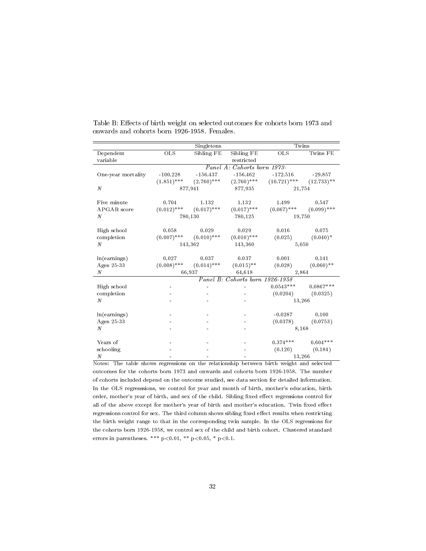|                       | Twins         |               |                                 |                |               |
|-----------------------|---------------|---------------|---------------------------------|----------------|---------------|
| Dependent<br>variable | <b>OLS</b>    | Sibling FE    | Sibling FE<br>restricted        | $_{\rm OLS}$   | Twins FE      |
|                       |               |               | Panel A: Cohorts born 1973-     |                |               |
| One-year mortality    | $-100.228$    | $-156.437$    | $-156.462$                      | $-172.516$     | $-29.857$     |
|                       | $(1.851)$ *** | $(2.760)$ *** | $(2.760)$ ***                   | $(10.721)$ *** | $(12.733)$ ** |
| $\cal N$              |               | 877,941       | 877,935                         | 21,754         |               |
| Five minute           | 0.704         | 1.132         | 1.132                           | 1.499          | 0.547         |
| APGAR score           | $(0.012)$ *** | $(0.017)$ *** | $(0.017)$ ***                   | $(0.067)$ ***  | $(0.099)$ *** |
| N                     |               | 780,130       | 780,125                         | 19,750         |               |
| High school           | 0.058         | 0.029         | 0.029                           | 0.016          | 0.075         |
| completion            | $(0.007)$ *** | $(0.010)$ *** | $(0.010)$ ***                   | (0.025)        | $(0.040)^*$   |
| $\boldsymbol{N}$      |               | 143,362       | 143,360                         | 5,050          |               |
| ln(earnings)          | 0.027         | 0.037         | 0.037                           | 0.001          | 0.141         |
| Ages 25-33            | $(0.008)$ *** | $(0.014)$ *** | $(0.015)$ **                    | (0.028)        | $(0.060)$ **  |
| N                     |               | 66,937        | 64,618                          | 2,864          |               |
|                       |               |               | Panel B: Cohorts born 1926-1958 |                |               |
| High school           |               |               |                                 | $0.0543***$    | $0.0867***$   |
| completion            |               |               |                                 | (0.0204)       | (0.0325)      |
| $\boldsymbol{N}$      |               |               |                                 | 13,266         |               |
| ln(earnings)          |               |               |                                 | $-0.0287$      | 0.100         |
| Ages 25-33            |               |               |                                 | (0.0378)       | (0.0753)      |
| N                     |               |               |                                 | 8,168          |               |
| Years of              |               |               |                                 | $0.374***$     | $0.604***$    |
| schooling             |               |               |                                 | (0.120)        | (0.184)       |
| $\boldsymbol{N}$      |               |               |                                 | 13,266         |               |

Table B: Effects of birth weight on selected outcomes for cohorts born 1973 and onwards and cohorts born 1926-1958. Females.

Notes: The table shows regressions on the relationship between birth weight and selected outcomes for the cohorts born 1973 and onwards and cohorts born 1926-1958. The number of cohorts included depend on the outcome studied, see data section for detailed information. In the OLS regresssions, we control for year and month of birth, mother's education, birth order, mother's year of birth, and sex of the child. Sibling fixed effect regressions control for all of the above except for mother's year of birth and mother's education. Twin fixed effect regressions control for sex. The third column shows sibling fixed effect results when restricting the birth weight range to that in the corresponding twin sample. In the OLS regressions for the cohorts born 1926-1958, we control sex of the child and birth cohort. Clustered standard errors in parentheses. \*\*\*  $p<0.01$ , \*\*  $p<0.05$ , \*  $p<0.1$ .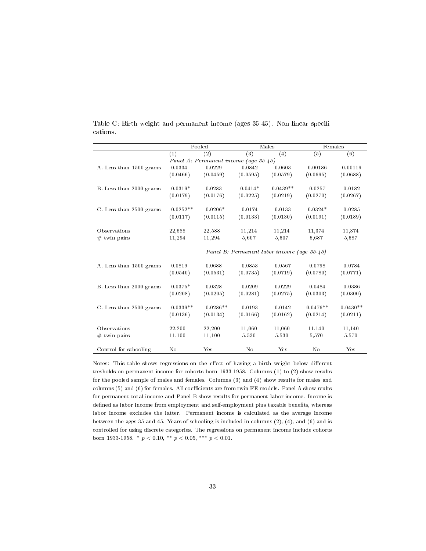|                         |                                             | Pooled                                |            | Males       |                  | Females          |  |  |
|-------------------------|---------------------------------------------|---------------------------------------|------------|-------------|------------------|------------------|--|--|
|                         | (1)                                         | (2)                                   | (3)        | (4)         | $\overline{(5)}$ | $\overline{(6)}$ |  |  |
|                         |                                             | Panel A: Permanent income (age 35-45) |            |             |                  |                  |  |  |
| A. Less than 1500 grams | $-0.0334$                                   | $-0.0229$                             | $-0.0842$  | $-0.0603$   | $-0.00186$       | $-0.00119$       |  |  |
|                         | (0.0466)                                    | (0.0459)                              | (0.0595)   | (0.0579)    | (0.0695)         | (0.0688)         |  |  |
| B. Less than 2000 grams | $-0.0319*$                                  | $-0.0283$                             | $-0.0414*$ | $-0.0439**$ | $-0.0257$        | $-0.0182$        |  |  |
|                         | (0.0179)                                    | (0.0176)                              | (0.0225)   | (0.0219)    | (0.0270)         | (0.0267)         |  |  |
| C. Less than 2500 grams | $-0.0252**$                                 | $-0.0206*$                            | $-0.0174$  | $-0.0133$   | $-0.0324*$       | $-0.0285$        |  |  |
|                         | (0.0117)                                    | (0.0115)                              | (0.0133)   | (0.0130)    | (0.0191)         | (0.0189)         |  |  |
| Observations            | 22,588                                      | 22,588                                | 11,214     | 11,214      | 11,374           | 11,374           |  |  |
| $#$ twin pairs          | 11,294                                      | 11,294                                | 5,607      | 5,607       | 5,687            | 5,687            |  |  |
|                         | Panel B: Permanent labor income (age 35-45) |                                       |            |             |                  |                  |  |  |
| A. Less than 1500 grams | $-0.0819$                                   | $-0.0688$                             | $-0.0853$  | $-0.0567$   | $-0.0798$        | $-0.0784$        |  |  |
|                         | (0.0540)                                    | (0.0531)                              | (0.0735)   | (0.0719)    | (0.0780)         | (0.0771)         |  |  |
| B. Less than 2000 grams | $-0.0375*$                                  | $-0.0328$                             | $-0.0209$  | $-0.0229$   | $-0.0484$        | $-0.0386$        |  |  |
|                         | (0.0208)                                    | (0.0205)                              | (0.0281)   | (0.0275)    | (0.0303)         | (0.0300)         |  |  |
| C. Less than 2500 grams | $-0.0339**$                                 | $-0.0286**$                           | $-0.0193$  | $-0.0142$   | $-0.0476**$      | $-0.0430**$      |  |  |
|                         | (0.0136)                                    | (0.0134)                              | (0.0166)   | (0.0162)    | (0.0214)         | (0.0211)         |  |  |
| Observations            | 22,200                                      | 22,200                                | 11,060     | 11,060      | 11,140           | 11,140           |  |  |
| $#$ twin pairs          | 11,100                                      | 11,100                                | 5,530      | 5,530       | 5,570            | 5,570            |  |  |
| Control for schooling   | No                                          | Yes                                   | No         | Yes         | No               | Yes              |  |  |

Table C: Birth weight and permanent income (ages 35-45). Non-linear specifications.

Notes: This table shows regressions on the effect of having a birth weight below different tresholds on permanent income for cohorts born 1933-1958. Columns (1) to (2) show results for the pooled sample of males and females. Columns (3) and (4) show results for males and columns (5) and (6) for females. All coefficients are from twin FE models. Panel A show reults for permanent total income and Panel B show results for permanent labor income. Income is defined as labor income from employment and self-employment plus taxable benefits, whereas labor income excludes the latter. Permanent income is calculated as the average income between the ages 35 and 45. Years of schooling is included in columns (2), (4), and (6) and is controlled for using discrete categories. The regressions on permanent income include cohorts born 1933-1958.  $\ast$   $p < 0.10, \ast \ast$   $p < 0.05, \ast \ast \ast$   $p < 0.01$ .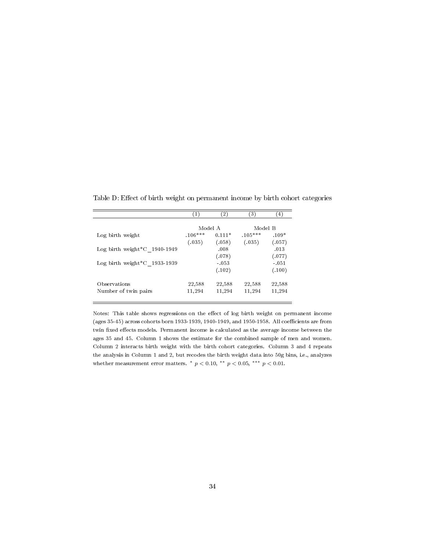|                                        | (1)       | $\left( 2\right)$ | (3)       | (4)     |
|----------------------------------------|-----------|-------------------|-----------|---------|
|                                        | Model A   |                   | Model B   |         |
| Log birth weight                       | $.106***$ | $0.111*$          | $.105***$ | $.109*$ |
|                                        | (.035)    | (.058)            | (.035)    | (.057)  |
| Log birth weight $^{\ast}$ C 1940-1949 |           | .008              |           | .013    |
|                                        |           | (.078)            |           | (.077)  |
| Log birth weight $^{\ast}$ C 1933-1939 |           | $-0.53$           |           | $-.051$ |
|                                        |           | (.102)            |           | (.100)  |
| Observations                           | 22,588    | 22,588            | 22,588    | 22,588  |
| Number of twin pairs                   | 11,294    | 11,294            | 11,294    | 11,294  |
|                                        |           |                   |           |         |

Table D: Effect of birth weight on permanent income by birth cohort categories

Notes: This table shows regressions on the effect of log birth weight on permanent income  $(ages\,35-45)$  across cohorts born 1933-1939, 1940-1949, and 1950-1958. All coefficients are from twin fixed effects models. Permanent income is calculated as the average income between the ages 35 and 45. Column 1 shows the estimate for the combined sample of men and women. Column 2 interacts birth weight with the birth cohort categories. Column 3 and 4 repeats the analysis in Column 1 and 2, but recodes the birth weight data into 50g bins, i.e., analyzes whether measurement error matters.  $*$   $p < 0.10$ ,  $**$   $p < 0.05$ ,  $***$   $p < 0.01$ .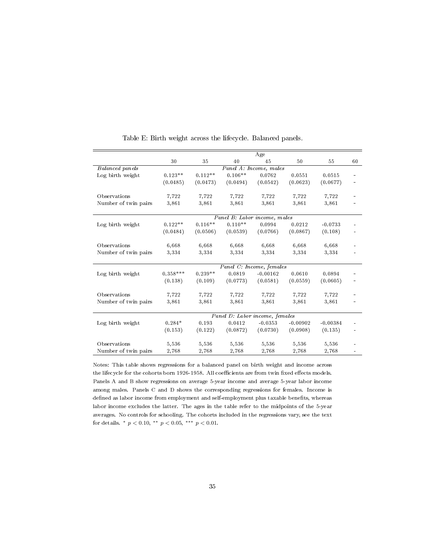|                      | Age        |           |           |                                |            |            |    |
|----------------------|------------|-----------|-----------|--------------------------------|------------|------------|----|
|                      | 30         | 35        | 40        | 45                             | 50         | 55         | 60 |
| Balanced panels      |            |           |           | Panel A: Income, males         |            |            |    |
| Log birth weight     | $0.123**$  | $0.112**$ | $0.106**$ | 0.0762                         | 0.0551     | 0.0515     |    |
|                      | (0.0485)   | (0.0473)  | (0.0494)  | (0.0542)                       | (0.0623)   | (0.0677)   |    |
| Observations         | 7,722      | 7,722     | 7,722     | 7,722                          | 7,722      | 7,722      |    |
| Number of twin pairs | 3,861      | 3,861     | 3,861     | 3,861                          | 3,861      | 3,861      |    |
|                      |            |           |           | Panel B: Labor income, males   |            |            |    |
| Log birth weight     | $0.122**$  | $0.116**$ | $0.110**$ | 0.0994                         | 0.0212     | $-0.0733$  |    |
|                      | (0.0484)   | (0.0506)  | (0.0539)  | (0.0766)                       | (0.0867)   | (0.108)    |    |
| Observations         | 6,668      | 6,668     | 6,668     | 6,668                          | 6,668      | 6,668      |    |
| Number of twin pairs | 3,334      | 3,334     | 3,334     | 3,334                          | 3,334      | 3,334      |    |
|                      |            |           |           | Panel C: Income, females       |            |            |    |
| Log birth weight     | $0.358***$ | $0.239**$ | 0.0819    | $-0.00162$                     | 0.0610     | 0.0894     |    |
|                      | (0.138)    | (0.109)   | (0.0773)  | (0.0581)                       | (0.0559)   | (0.0605)   |    |
| Observations         | 7,722      | 7,722     | 7,722     | 7,722                          | 7,722      | 7,722      |    |
| Number of twin pairs | 3,861      | 3,861     | 3,861     | 3,861                          | 3,861      | 3,861      |    |
|                      |            |           |           | Panel D: Labor income, females |            |            |    |
| Log birth weight     | $0.284*$   | 0.193     | 0.0412    | $-0.0353$                      | $-0.00902$ | $-0.00384$ |    |
|                      | (0.153)    | (0.122)   | (0.0872)  | (0.0730)                       | (0.0908)   | (0.135)    |    |
| Observations         | 5,536      | 5,536     | 5,536     | 5,536                          | 5,536      | 5,536      |    |
| Number of twin pairs | 2,768      | 2,768     | 2,768     | 2,768                          | 2,768      | 2,768      |    |

Table E: Birth weight across the lifecycle. Balanced panels.

Notes: This table shows regressions for a balanced panel on birth weight and income across the lifecycle for the cohorts born 1926-1958. All coefficients are from twin fixed effects models. Panels A and B show regressions on average 5-year income and average 5-year labor income among males. Panels C and D shows the corresponding regressions for females. Income is defined as labor income from employment and self-employment plus taxable benefits, whereas labor income excludes the latter. The ages in the table refer to the midpoints of the 5-year averages. No controls for schooling. The cohorts included in the regressions vary, see the text for details.  $*$   $p < 0.10$ ,  $**$   $p < 0.05$ ,  $***$   $p < 0.01$ .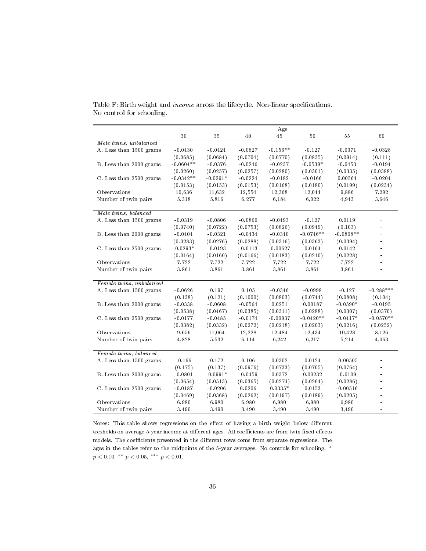|                          |             |            |           | Age        |             |             |             |
|--------------------------|-------------|------------|-----------|------------|-------------|-------------|-------------|
|                          | 30          | 35         | 40        | 45         | 50          | 55          | 60          |
| Male twins, unbalanced   |             |            |           |            |             |             |             |
| A. Less than 1500 grams  | $-0.0430$   | $-0.0424$  | $-0.0827$ | $-0.156**$ | $-0.127$    | $-0.0371$   | $-0.0328$   |
|                          | (0.0685)    | (0.0684)   | (0.0704)  | (0.0770)   | (0.0835)    | (0.0914)    | (0.111)     |
| B. Less than 2000 grams  | $-0.0604**$ | $-0.0376$  | $-0.0246$ | $-0.0237$  | $-0.0539*$  | $-0.0453$   | $-0.0194$   |
|                          | (0.0260)    | (0.0257)   | (0.0257)  | (0.0280)   | (0.0301)    | (0.0335)    | (0.0388)    |
| C. Less than 2500 grams  | $-0.0342**$ | $-0.0291*$ | $-0.0224$ | $-0.0182$  | $-0.0166$   | 0.00564     | $-0.0204$   |
|                          | (0.0153)    | (0.0153)   | (0.0153)  | (0.0168)   | (0.0180)    | (0.0199)    | (0.0234)    |
| Observations             | 10,636      | 11,632     | 12,554    | 12,368     | 12,044      | 9,886       | 7,292       |
| Number of twin pairs     | 5,318       | 5,816      | 6,277     | 6,184      | 6,022       | 4,943       | 3,646       |
|                          |             |            |           |            |             |             |             |
| Male twins, balanced     |             |            |           |            |             |             |             |
| A. Less than 1500 grams  | $-0.0319$   | $-0.0806$  | $-0.0869$ | $-0.0493$  | $-0.127$    | 0.0119      |             |
|                          | (0.0740)    | (0.0722)   | (0.0753)  | (0.0826)   | (0.0949)    | (0.103)     |             |
| B. Less than 2000 grams  | $-0.0404$   | $-0.0321$  | $-0.0434$ | $-0.0340$  | $-0.0746**$ | $-0.0808**$ |             |
|                          | (0.0283)    | (0.0276)   | (0.0288)  | (0.0316)   | (0.0363)    | (0.0394)    |             |
| C. Less than 2500 grams  | $-0.0293*$  | $-0.0193$  | $-0.0113$ | $-0.00627$ | 0.0164      | 0.0142      |             |
|                          | (0.0164)    | (0.0160)   | (0.0166)  | (0.0183)   | (0.0210)    | (0.0228)    |             |
| Observations             | 7,722       | 7,722      | 7,722     | 7,722      | 7,722       | 7,722       |             |
| Number of twin pairs     | 3,861       | 3,861      | 3,861     | 3,861      | 3,861       | 3,861       |             |
|                          |             |            |           |            |             |             |             |
| Female twins, unbalanced |             |            |           |            |             |             |             |
| A. Less than 1500 grams  | $-0.0626$   | 0.197      | 0.105     | $-0.0346$  | $-0.0998$   | $-0.127$    | $-0.288***$ |
|                          | (0.138)     | (0.121)    | (0.1000)  | (0.0803)   | (0.0744)    | (0.0808)    | (0.104)     |
| B. Less than 2000 grams  | $-0.0338$   | $-0.0608$  | $-0.0564$ | 0.0251     | 0.00187     | $-0.0590*$  | $-0.0195$   |
|                          | (0.0538)    | (0.0467)   | (0.0385)  | (0.0311)   | (0.0288)    | (0.0307)    | (0.0370)    |
| C. Less than 2500 grams  | $-0.0177$   | $-0.0485$  | $-0.0174$ | $-0.00937$ | $-0.0420**$ | $-0.0417*$  | $-0.0570**$ |
|                          | (0.0382)    | (0.0332)   | (0.0272)  | (0.0218)   | (0.0203)    | (0.0216)    | (0.0252)    |
| Observations             | 9,656       | 11,064     | 12,228    | 12,484     | 12,434      | 10,428      | 8,126       |
| Number of twin pairs     | 4,828       | 5,532      | 6,114     | 6,242      | 6,217       | 5,214       | 4,063       |
|                          |             |            |           |            |             |             |             |
| Female twins, balanced   |             |            |           |            |             |             |             |
| A. Less than 1500 grams  | $-0.166$    | 0.172      | 0.106     | 0.0302     | 0.0124      | $-0.00505$  |             |
|                          | (0.175)     | (0.137)    | (0.0976)  | (0.0733)   | (0.0705)    | (0.0764)    |             |
| B. Less than 2000 grams  | $-0.0801$   | $-0.0991*$ | $-0.0459$ | 0.0372     | 0.00232     | $-0.0109$   |             |
|                          | (0.0654)    | (0.0513)   | (0.0365)  | (0.0274)   | (0.0264)    | (0.0286)    |             |
| C. Less than 2500 grams  | $-0.0187$   | $-0.0206$  | 0.0206    | $0.0335*$  | 0.0153      | $-0.00516$  |             |
|                          | (0.0469)    | (0.0368)   | (0.0262)  | (0.0197)   | (0.0189)    | (0.0205)    |             |
| Observations             | 6,980       | 6,980      | 6,980     | 6,980      | 6,980       | 6,980       |             |
| Number of twin pairs     | 3,490       | 3,490      | 3,490     | 3,490      | 3,490       | 3,490       |             |
|                          |             |            |           |            |             |             |             |

Table F: Birth weight and  $income$  across the lifecycle. Non-linear specifications. No control for schooling.

Notes: This table shows regressions on the effect of having a birth weight below different tresholds on average 5-year income at different ages. All coefficients are from twin fixed effects models. The coefficients presented in the different rows come from separate regressions. The ages in the tables refer to the midpoints of the 5-year averages. No controls for schooling. <sup>∗</sup>  $p < 0.10,$  \*\*  $p < 0.05,$  \*\*\*  $p < 0.01$ .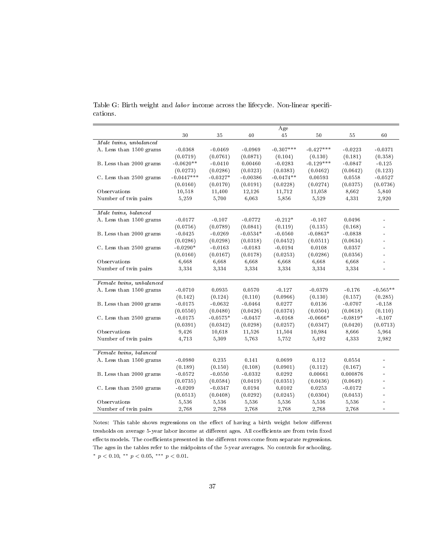|                          |              |            |            | Age         |             |            |                |
|--------------------------|--------------|------------|------------|-------------|-------------|------------|----------------|
|                          | 30           | 35         | 40         | 45          | 50          | 55         | 60             |
| Male twins, unbalanced   |              |            |            |             |             |            |                |
| A. Less than 1500 grams  | $-0.0368$    | $-0.0469$  | $-0.0969$  | $-0.307***$ | $-0.427***$ | $-0.0223$  | $-0.0371$      |
|                          | (0.0719)     | (0.0761)   | (0.0871)   | (0.104)     | (0.130)     | (0.181)    | (0.358)        |
| B. Less than 2000 grams  | $-0.0620**$  | $-0.0410$  | 0.00460    | $-0.0283$   | $-0.129***$ | $-0.0847$  | $-0.125$       |
|                          | (0.0273)     | (0.0286)   | (0.0323)   | (0.0383)    | (0.0462)    | (0.0642)   | (0.123)        |
| C. Less than 2500 grams  | $-0.0447***$ | $-0.0327*$ | $-0.00386$ | $-0.0474**$ | 0.00593     | 0.0558     | $-0.0527$      |
|                          | (0.0160)     | (0.0170)   | (0.0191)   | (0.0228)    | (0.0274)    | (0.0375)   | (0.0736)       |
| Observations             | 10,518       | 11,400     | 12,126     | 11,712      | 11,058      | 8,662      | 5,840          |
|                          |              |            |            |             |             |            |                |
| Number of twin pairs     | 5,259        | 5,700      | 6,063      | 5,856       | 5,529       | 4,331      | 2,920          |
| Male twins, balanced     |              |            |            |             |             |            |                |
| A. Less than 1500 grams  | $-0.0177$    | $-0.107$   | $-0.0772$  | $-0.212*$   | $-0.107$    | 0.0496     |                |
|                          | (0.0756)     | (0.0789)   | (0.0841)   | (0.119)     | (0.135)     | (0.168)    |                |
| B. Less than 2000 grams  | $-0.0425$    | $-0.0269$  | $-0.0534*$ | $-0.0560$   | $-0.0863*$  | $-0.0838$  |                |
|                          | (0.0286)     | (0.0298)   | (0.0318)   | (0.0452)    | (0.0511)    | (0.0634)   |                |
| C. Less than 2500 grams  | $-0.0290*$   | $-0.0163$  | $-0.0183$  | $-0.0194$   | 0.0108      | 0.0357     |                |
|                          | (0.0160)     | (0.0167)   | (0.0178)   | (0.0253)    | (0.0286)    | (0.0356)   |                |
| Observations             | 6,668        | 6,668      | 6,668      | 6,668       | 6,668       | 6,668      |                |
| Number of twin pairs     | 3,334        | 3,334      | 3,334      | 3,334       | 3,334       | 3,334      | L.             |
|                          |              |            |            |             |             |            |                |
| Female twins, unbalanced |              |            |            |             |             |            |                |
| A. Less than 1500 grams  | $-0.0710$    | 0.0935     | 0.0570     | $-0.127$    | $-0.0379$   | $-0.176$   | $-0.565**$     |
|                          | (0.142)      | (0.124)    | (0.110)    | (0.0966)    | (0.130)     | (0.157)    | (0.285)        |
| B. Less than 2000 grams  | $-0.0175$    | $-0.0632$  | $-0.0464$  | 0.0277      | 0.0136      | $-0.0707$  | $-0.158$       |
|                          | (0.0550)     | (0.0480)   | (0.0426)   | (0.0374)    | (0.0504)    | (0.0618)   | (0.110)        |
| C. Less than 2500 grams  | $-0.0175$    | $-0.0575*$ | $-0.0457$  | $-0.0168$   | $-0.0666*$  | $-0.0819*$ | $-0.107$       |
|                          | (0.0391)     | (0.0342)   | (0.0298)   | (0.0257)    | (0.0347)    | (0.0420)   | (0.0713)       |
| Observations             | 9,426        | 10,618     | 11,526     | 11,504      | 10,984      | 8,666      | 5,964          |
| Number of twin pairs     | 4,713        | 5,309      | 5,763      | 5,752       | 5,492       | 4,333      | 2,982          |
|                          |              |            |            |             |             |            |                |
| Female twins, balanced   |              |            |            |             |             |            |                |
| A. Less than 1500 grams  | $-0.0980$    | 0.235      | 0.141      | 0.0699      | 0.112       | 0.0554     |                |
|                          | (0.189)      | (0.150)    | (0.108)    | (0.0901)    | (0.112)     | (0.167)    |                |
| B. Less than 2000 grams  | $-0.0572$    | $-0.0550$  | $-0.0332$  | 0.0292      | 0.00661     | 0.000876   |                |
|                          | (0.0735)     | (0.0584)   | (0.0419)   | (0.0351)    | (0.0436)    | (0.0649)   | $\blacksquare$ |
| C. Less than 2500 grams  | $-0.0209$    | $-0.0347$  | 0.0194     | 0.0102      | 0.0253      | $-0.0172$  |                |
|                          | (0.0513)     | (0.0408)   | (0.0292)   | (0.0245)    | (0.0304)    | (0.0453)   |                |
| Observations             | 5,536        | 5,536      | 5,536      | 5,536       | 5,536       | 5,536      |                |
| Number of twin pairs     | 2,768        | 2,768      | 2,768      | 2,768       | 2,768       | 2,768      | ÷.             |

Table G: Birth weight and labor income across the lifecycle. Non-linear specifications.

Notes: This table shows regressions on the effect of having a birth weight below different tresholds on average 5-year labor income at different ages. All coefficients are from twin fixed  $\operatorname{effects}$  models. The coefficients presented in the different rows come from separate regressions. The ages in the tables refer to the midpoints of the 5-year averages. No controls for schooling. \*  $p < 0.10$ , \*\*  $p < 0.05$ , \*\*\*  $p < 0.01$ .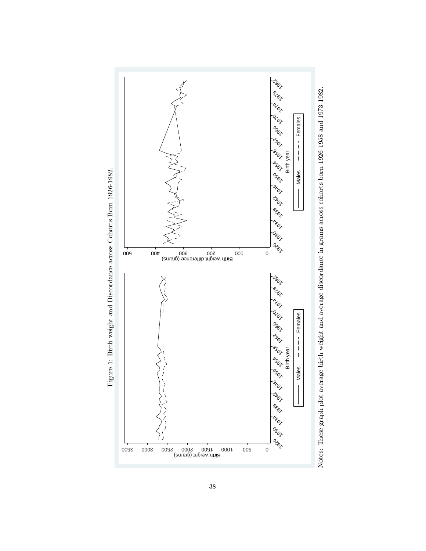

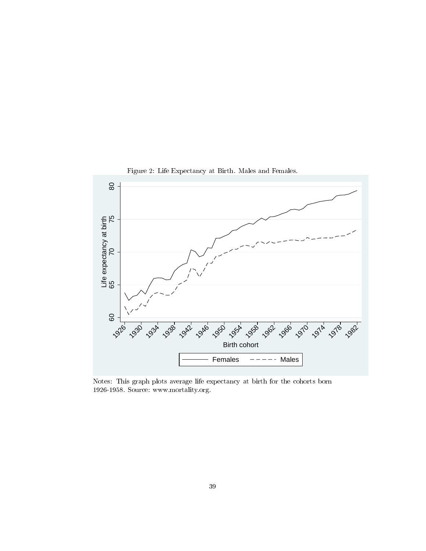

Figure 2: Life Expectancy at Birth. Males and Females.

Notes: This graph plots average life expectancy at birth for the cohorts born 1926-1958. Source: www.mortality.org.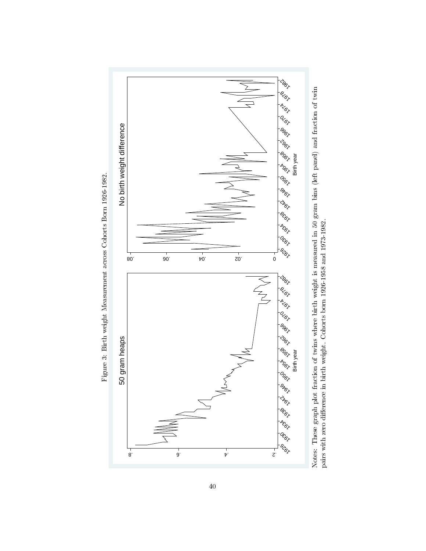

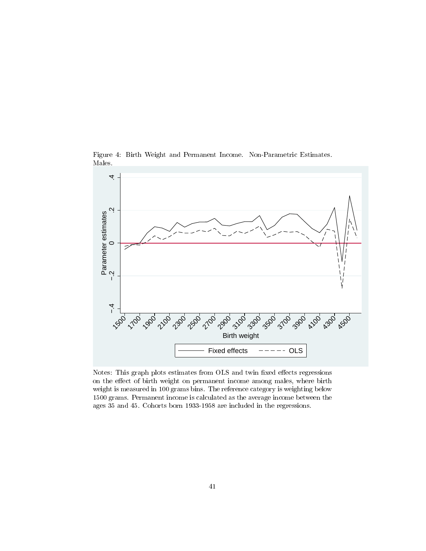Figure 4: Birth Weight and Permanent Income. Non-Parametric Estimates. Males.



Notes: This graph plots estimates from OLS and twin fixed effects regressions on the effect of birth weight on permanent income among males, where birth weight is measured in 100 grams bins. The reference category is weighting below 1500 grams. Permanent income is calculated as the average income between the ages 35 and 45. Cohorts born 1933-1958 are included in the regressions.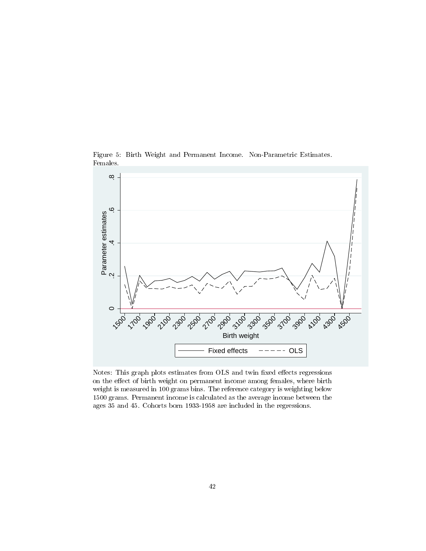Figure 5: Birth Weight and Permanent Income. Non-Parametric Estimates. Females.



Notes: This graph plots estimates from OLS and twin fixed effects regressions on the effect of birth weight on permanent income among females, where birth weight is measured in 100 grams bins. The reference category is weighting below 1500 grams. Permanent income is calculated as the average income between the ages 35 and 45. Cohorts born 1933-1958 are included in the regressions.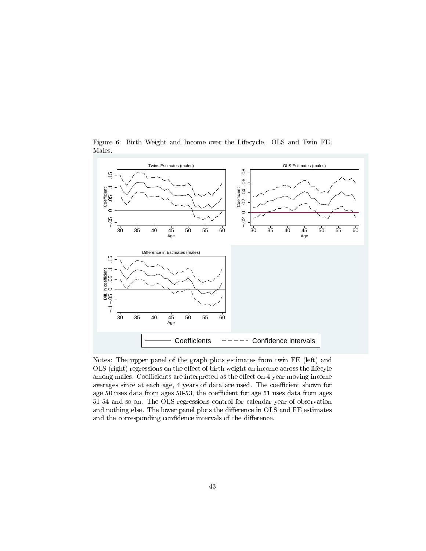

Figure 6: Birth Weight and Income over the Lifecycle. OLS and Twin FE. Males.

Notes: The upper panel of the graph plots estimates from twin FE (left) and OLS (right) regressions on the effect of birth weight on income across the lifecyle among males. Coefficients are interpreted as the effect on 4 year moving income averages since at each age, 4 years of data are used. The coefficient shown for age 50 uses data from ages 50-53, the coefficient for age 51 uses data from ages 51-54 and so on. The OLS regressions control for calendar year of observation and nothing else. The lower panel plots the difference in OLS and FE estimates and the corresponding confidence intervals of the difference.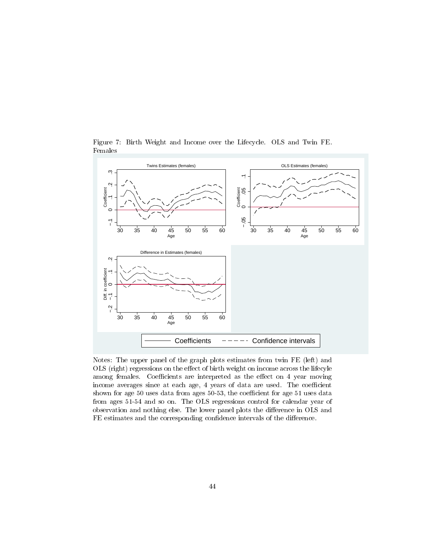

Figure 7: Birth Weight and Income over the Lifecycle. OLS and Twin FE. Females

Notes: The upper panel of the graph plots estimates from twin FE (left) and OLS (right) regressions on the effect of birth weight on income across the lifecyle among females. Coefficients are interpreted as the effect on 4 year moving income averages since at each age, 4 years of data are used. The coefficient shown for age  $50$  uses data from ages  $50-53$ , the coefficient for age  $51$  uses data from ages 51-54 and so on. The OLS regressions control for calendar year of observation and nothing else. The lower panel plots the difference in OLS and FE estimates and the corresponding confidence intervals of the difference.